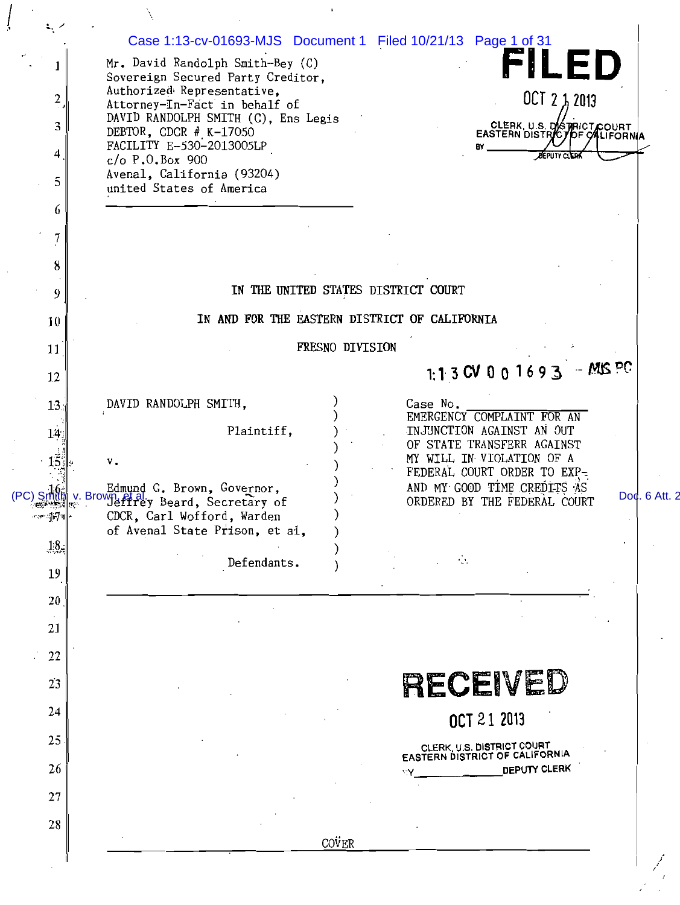|                          | Case 1:13-cv-01693-MJS Document 1 Filed 10/21/13 Page 1 of 31                                        |               |
|--------------------------|------------------------------------------------------------------------------------------------------|---------------|
| I                        | FILED<br>Mr. David Randolph Smith-Bey (C)<br>Sovereign Secured Party Creditor,                       |               |
| $\frac{2}{\cdot}$        | Authorized Representative,<br>OCT 2 1, 2013<br>Attorney-In-Fact in behalf of                         |               |
| 3                        | DAVID RANDOLPH SMITH (C), Ens Legis<br>CLERK, U.S. DISTRICT COURT<br>DEBTOR, CDCR $#$ K-17050        |               |
| 4                        | FACILITY E-530-2013005LP<br>B۲<br><b>DEPUTY CLERK</b><br>$c/o$ P.O.Box 900                           |               |
| 5                        | Avenal, California (93204)                                                                           |               |
| 6                        | united States of America                                                                             |               |
| 7                        |                                                                                                      |               |
| 8                        |                                                                                                      |               |
| 9                        | IN THE UNITED STATES DISTRICT COURT                                                                  |               |
| 10                       | IN AND FOR THE EASTERN DISTRICT OF CALIFORNIA                                                        |               |
| 11                       | FRESNO DIVISION                                                                                      |               |
| 12                       | 1:1 3 CV 0 0 1 6 9 3 $-MIS$ PC                                                                       |               |
| 13.                      | DAVID RANDOLPH SMITH,<br>Case No.                                                                    |               |
| 14.                      | EMERGENCY COMPLAINT FOR AN<br>Plaintiff,<br>INJUNCTION AGAINST AN OUT                                |               |
| 15 <sub>1</sub>          | OF STATE TRANSFERR AGAINST<br>MY WILL IN VIOLATION OF A<br>ν.                                        |               |
|                          | FEDERAL COURT ORDER TO EXP-<br>AND MY GOOD TIME CREDITS AS<br>Edmund G. Brown, Governor,             |               |
| (PC) Smil<br>~ะ∞ะปูศ⁄า∥∗ | v. Brown, et al. y Beard, Secretary of<br>ORDERED BY THE FEDERAL COURT<br>CDCR. Carl Wofford. Warden | Doc. 6 Att. 2 |
|                          | of Avenal State Prison, et al,                                                                       |               |
| 13,                      | ÷Ò.<br>Defendants.                                                                                   |               |
| 19                       |                                                                                                      |               |
| 20                       |                                                                                                      |               |
| 21                       |                                                                                                      |               |
| 22                       |                                                                                                      |               |
| 2 <sub>3</sub>           | RECEIVED                                                                                             |               |
| 24                       | OCT 21 2013                                                                                          |               |
| 25                       | CLERK, U.S. DISTRICT COURT<br>EASTERN DISTRICT OF CALIFORNIA                                         |               |
| 26                       | DEPUTY CLERK                                                                                         |               |
| 27                       |                                                                                                      |               |
| 28                       |                                                                                                      |               |
|                          | COVER                                                                                                |               |
|                          |                                                                                                      |               |

ļ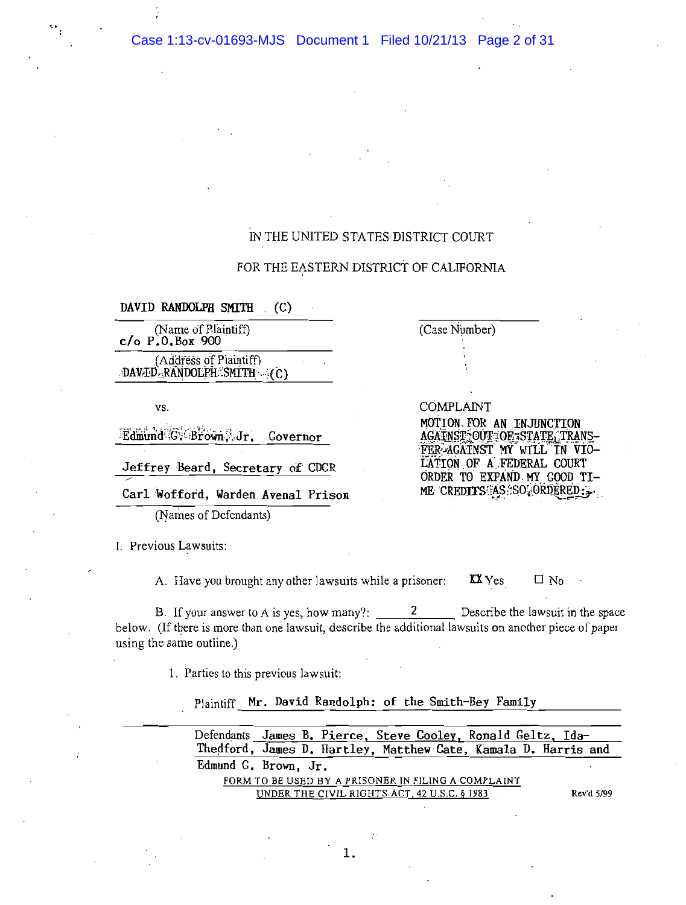Case 1:13-cv-01693-MJS Document 1 Filed 10/21/13 Page 2 of 31

# IN THE UNITED STATES DISTRICT COURT

# FOR THE EASTERN DISTRICT OF CALIFORNIA

DAVID RANDOLPH SMITH (C)

(Name of Plaintiff)  $c/o$  P.O.Box 900 (Address of Plaintiff)

DAVID RANDOLPH SMITH (C)

VS.

Edmund G. Brown J.Jr. Governor

Jeffrey Beard, Secretary of CDCR

Carl Wofford, Warden Avenal Prison

(Names of Defendants)

I. Previous Lawsuits:

A. Have you brought any other lawsuits while a prisoner:  $\mathbf{X}$  Yes

B. If your answer to A is yes, how many?:  $2^{\circ}$ Describe the lawsuit in the space below. (If there is more than one lawsuit, describe the additional lawsuits on another piece of paper using the same outline.)

1. Parties to this previous lawsuit:

Plaintiff Mr. David Randolph: of the Smith-Bey Family

Defendants James B. Pierce, Steve Cooley, Ronald Geltz, Ida-Thedford, James D. Hartley, Matthew Cate, Kamala D. Harris and Edmund G. Brown, Jr. FORM TO BE USED BY A PRISONER IN FILING A COMPLAINT UNDER THE CIVIL RIGHTS ACT, 42 U.S.C. § 1983 Rev'd 5/99

**COMPLAINT** MOTION FOR AN INJUNCTION AGAINST OUT OF STATE, TRANS-FER-AGAINST MY WILL IN VIO-LATION OF A FEDERAL COURT ORDER TO EXPAND MY GOOD TI-ME CREDITS AS SO ORDERED:

 $\Box$  No

(Case Number)

1.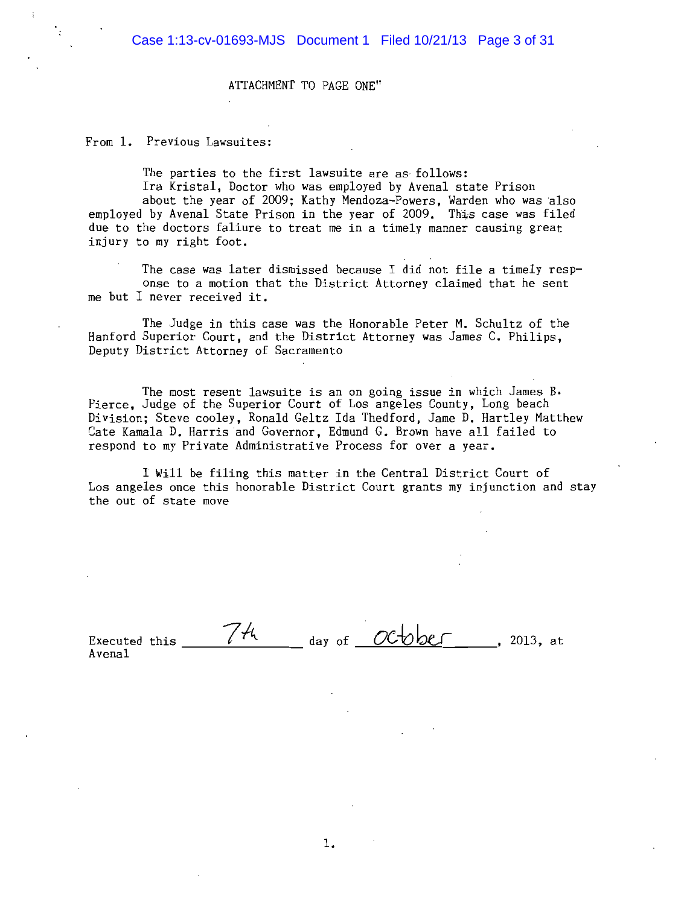ATTACHMENT TO PAGE ONE"

From 1. Previous Lawsuites:

The parties to the first lawsuite are as follows:

Ira Kristal, Doctor who was employed by Avenal state Prison about the year of 2009; Kathy Mendoza-Powers, Warden who was also employed by Avenal State Prison in the year of 2009. This case was filed due to the doctors faliure to treat me in a timely manner causing great injury to my right foot.

The case was later dismissed because I did not file a timely response to a motion that the District Attorney claimed that he sent me but I never received it.

The Judge in this case was the Honorable Peter M. Schultz of the Hanford Superior Court, and the District Attorney was James C. Philips, Deputy District Attorney of Sacramento

The most resent lawsuite is an on going issue in which James B. Pierce, Judge of the Superior Court of Los angeles County, Long beach Division; Steve cooley, Ronald Geltz Ida Thedford, Jame D. Hartley Matthew Cate Kamala D. Harris and Governor, Edmund G. Brown have all failed to respond to my Private Administrative Process for over a year.

I Will be filing this matter in the Central District Court of Los angeles once this honorable District Court grants my injunction and stay the out of state move

74 day of  $OC\rightarrow$ be  $\sim$  2013, at Executed this Avena1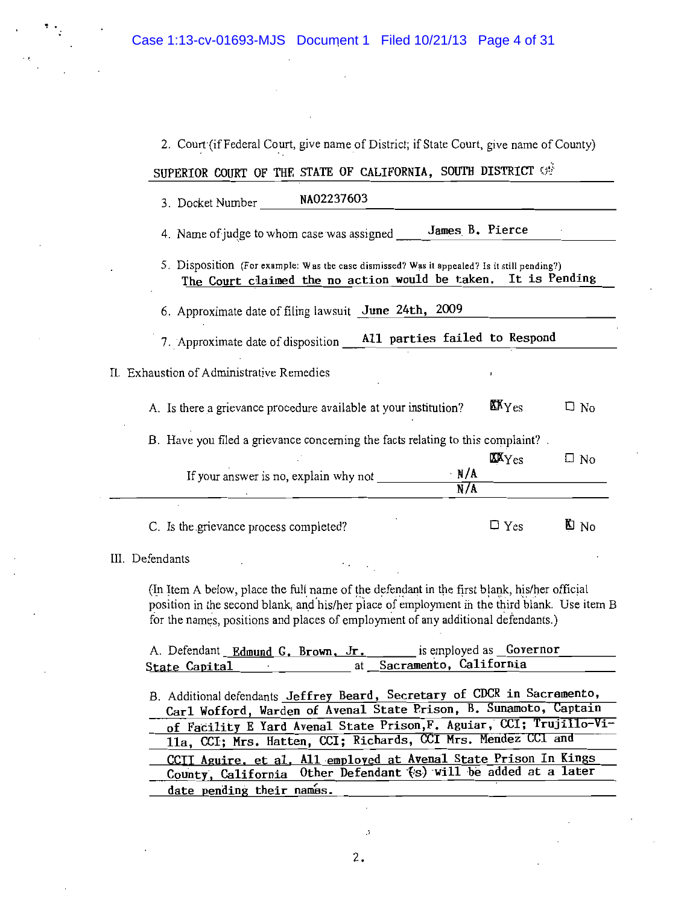| SUPERIOR COURT OF THE STATE OF CALIFORNIA, SOUTH DISTRICT OF                                                                                   |                                       |                 |
|------------------------------------------------------------------------------------------------------------------------------------------------|---------------------------------------|-----------------|
| NA02237603<br>3. Docket Number                                                                                                                 |                                       |                 |
| James B. Pierce<br>4. Name of judge to whom case was assigned                                                                                  |                                       |                 |
| 5. Disposition (For example: Was the case dismissed? Was it appealed? Is it still pending?)<br>The Court claimed the no action would be taken. | It is Pending                         |                 |
| 6. Approximate date of filing lawsuit June 24th, 2009                                                                                          |                                       |                 |
| 7. Approximate date of disposition __ A11 parties failed to Respond                                                                            |                                       |                 |
| II. Exhaustion of Administrative Remedies                                                                                                      |                                       |                 |
| A. Is there a grievance procedure available at your institution?                                                                               | $\mathbf{X} \mathbf{Y}_{\mathrm{ES}}$ | □ No            |
| B. Have you filed a grievance concerning the facts relating to this complaint?                                                                 |                                       |                 |
| $\cdot$ N/A<br>If your answer is no, explain why not                                                                                           | $\texttt{XXYes}$                      | $\square$ No    |
| N/A                                                                                                                                            |                                       |                 |
| C. Is the grievance process completed?                                                                                                         | $\Box$ Yes                            | $\mathbf{E}$ No |
| III. Defendants                                                                                                                                |                                       |                 |

2. Court (if Federal Court, give name of District; if State Court, give name of County)

(In Item A below, place the full name of the defendant in the first blank, his/her official position in the second blank, and his/her place of employment in the third blank. Use item B for the names, positions and places of employment of any additional defendants.)

A. Defendant Edmund G. Brown, Jr. is employed as Governor Sacramento, California State Capital at  $\sim 10$ 

B. Additional defendants Jeffrey Beard, Secretary of CDCR in Sacremento, Carl Wofford, Warden of Avenal State Prison, B. Sunamoto, Captain of Facility E Yard Avenal State Prison, F. Aguiar, CCI; Trujillo-Vi-11a, CCI; Mrs. Hatten, CCI; Richards, CCI Mrs. Mendez CCI and CCII Aguire, et al, All employed at Avenal State Prison In Kings County, California Other Defendant (s) will be added at a later date pending their names.

 $\mathcal{G}$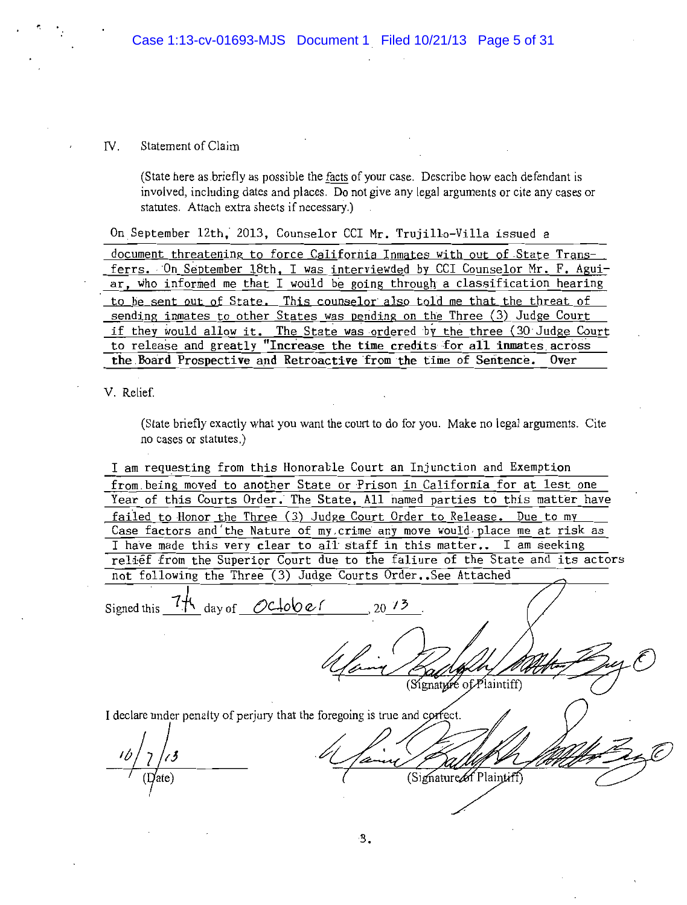#### $\mathbf{IV}_{-}$ Statement of Claim

(State here as briefly as possible the facts of your case. Describe how each defendant is involved, including dates and places. Do not give any legal arguments or cite any cases or statutes. Attach extra sheets if necessary.)

On September 12th, 2013, Counselor CCI Mr. Trujillo-Villa issued a

document threatening to force California Inmates with out of State Transferrs. On September 18th. I was interviewded by CCI Counselor Mr. F. Aguiar, who informed me that I would be going through a classification hearing to be sent out of State. This counselor also told me that the threat of sending inmates to other States was pending on the Three (3) Judge Court if they would allow it. The State was ordered by the three (30 Judge Court to release and greatly "Increase the time credits for all inmates across the Board Prospective and Retroactive from the time of Sentence.  $0$ ver

V. Relief.

(State briefly exactly what you want the court to do for you. Make no legal arguments. Cite no cases or statutes.)

I am requesting from this Honorable Court an Injunction and Exemption from being moved to another State or Prison in California for at lest one Year of this Courts Order. The State, All named parties to this matter have failed to Honor the Three (3) Judge Court Order to Release. Due to my Case factors and the Nature of my crime any move would place me at risk as I have made this very clear to all staff in this matter.. I am seeking relief from the Superior Court due to the faliure of the State and its actors not following the Three (3) Judge Courts Order. See Attached

4 day of October Signed this  $7$ (Signature of Plaintiff) I declare under penalty of perjury that the foregoing is true and correct.

(Signature of Plaintiff)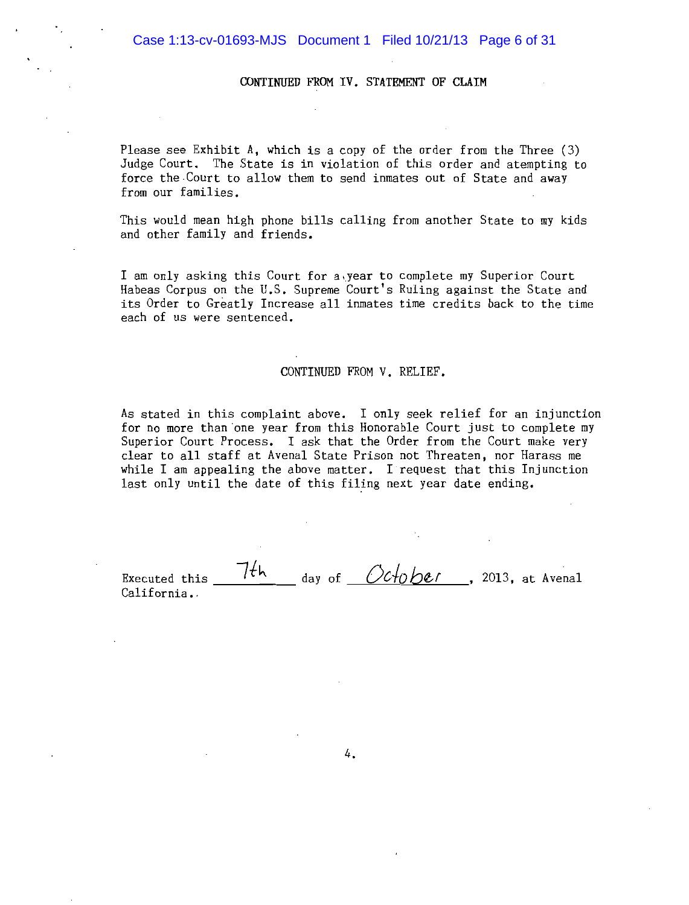### CONTINUED FROM IV. STATEMENT OF CLAIM

Please see Exhibit A, which is a copy of the order from the Three (3) Judge Court. The State is in violation of this order and atempting to force the Court to allow them to send inmates out of State and away from our families.

This would mean high phone bills calling from another State to my kids and other family and friends.

I am only asking this Court for a year to complete my Superior Court Habeas Corpus on the U.S. Supreme Court's Ruling against the State and its Order to Greatly Increase all inmates time credits back to the time each of us were sentenced.

## CONTINUED FROM V. RELIEF.

As stated in this complaint above. I only seek relief for an injunction for no more than one year from this Honorable Court just to complete my Superior Court Process. I ask that the Order from the Court make very clear to all staff at Avenal State Prison not Threaten, nor Harass me while I am appealing the above matter. I request that this Injunction last only until the date of this filing next year date ending.

7th day of  $Ochober$ , 2013, at Avenal Executed this California.

4.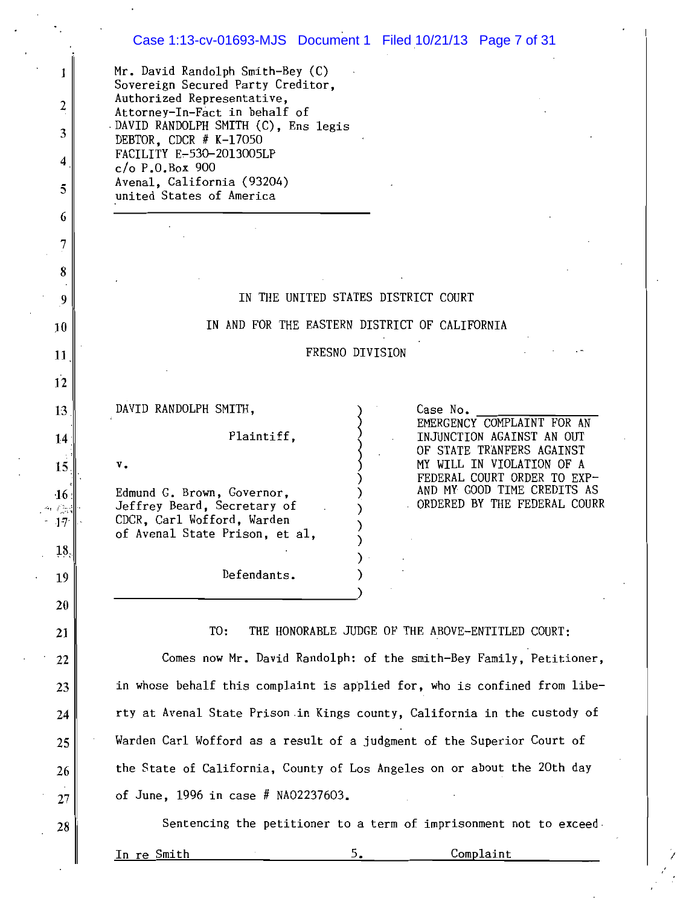|                                                          | Case 1:13-cv-01693-MJS Document 1 Filed 10/21/13 Page 7 of 31                                                                                                                                                                                                                                                                                              |
|----------------------------------------------------------|------------------------------------------------------------------------------------------------------------------------------------------------------------------------------------------------------------------------------------------------------------------------------------------------------------------------------------------------------------|
| 1<br>2<br>3<br>4<br>5<br>6<br>7<br>8<br>9                | Mr. David Randolph Smith-Bey (C)<br>Sovereign Secured Party Creditor,<br>Authorized Representative,<br>Attorney-In-Fact in behalf of<br>DAVID RANDOLPH SMITH (C), Ens legis<br>DEBTOR, CDCR $#$ K-17050<br>FACILITY E-530-2013005LP<br>$c/o$ P.O. Box 900<br>Avenal, California (93204)<br>united States of America<br>IN THE UNITED STATES DISTRICT COURT |
| 10                                                       | IN AND FOR THE EASTERN DISTRICT OF CALIFORNIA                                                                                                                                                                                                                                                                                                              |
| 11                                                       | FRESNO DIVISION                                                                                                                                                                                                                                                                                                                                            |
| 12                                                       |                                                                                                                                                                                                                                                                                                                                                            |
| 13                                                       | DAVID RANDOLPH SMITH,<br>Case No.                                                                                                                                                                                                                                                                                                                          |
| 14                                                       | EMERGENCY COMPLAINT FOR AN<br>Plaintiff,<br>INJUNCTION AGAINST AN OUT                                                                                                                                                                                                                                                                                      |
| 15                                                       | OF STATE TRANFERS AGAINST<br>MY WILL IN VIOLATION OF A<br>ν.                                                                                                                                                                                                                                                                                               |
| 46<br>$\epsilon$ .<br>17 <sup>°</sup><br>18 <sub>c</sub> | FEDERAL COURT ORDER TO EXP-<br>AND MY GOOD TIME CREDITS AS<br>Edmund G. Brown, Governor,<br>ORDERED BY THE FEDERAL COURR<br>Jeffrey Beard, Secretary of<br>CDCR, Carl Wofford, Warden<br>of Avenal State Prison, et al,                                                                                                                                    |
| 19                                                       | Defendants.                                                                                                                                                                                                                                                                                                                                                |
| 20                                                       |                                                                                                                                                                                                                                                                                                                                                            |
| 21                                                       | THE HONORABLE JUDGE OF THE ABOVE-ENTITLED COURT:<br>TO:                                                                                                                                                                                                                                                                                                    |
| 22                                                       | Comes now Mr. David Randolph: of the smith-Bey Family, Petitioner,                                                                                                                                                                                                                                                                                         |
| 23                                                       | in whose behalf this complaint is applied for, who is confined from libe-                                                                                                                                                                                                                                                                                  |
| 24                                                       | rty at Avenal State Prison in Kings county, California in the custody of                                                                                                                                                                                                                                                                                   |
| 25                                                       | Warden Carl Wofford as a result of a judgment of the Superior Court of                                                                                                                                                                                                                                                                                     |
| 26                                                       | the State of California, County of Los Angeles on or about the 20th day                                                                                                                                                                                                                                                                                    |
| 27                                                       | of June, 1996 in case # NA02237603.                                                                                                                                                                                                                                                                                                                        |
| 28                                                       | Sentencing the petitioner to a term of imprisonment not to exceed.                                                                                                                                                                                                                                                                                         |
|                                                          | Complaint<br>ro Smith                                                                                                                                                                                                                                                                                                                                      |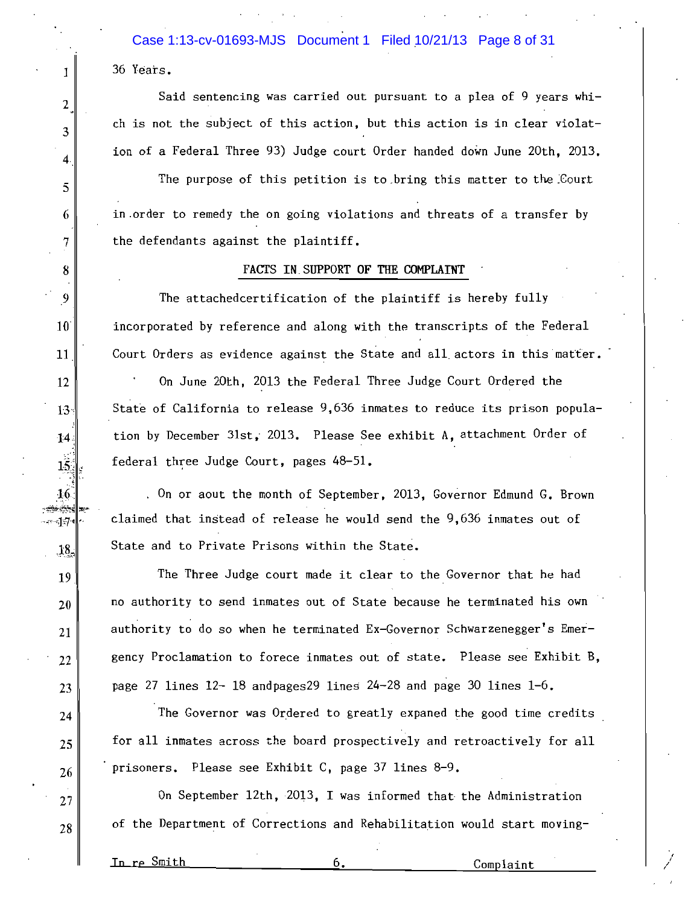Case 1:13-cv-01693-MJS Document 1 Filed 10/21/13 Page 8 of 31 36 Years.

Said sentencing was carried out pursuant to a plea of 9 years which is not the subject of this action, but this action is in clear violation of a Federal Three 93) Judge court Order handed down June 20th, 2013.

The purpose of this petition is to bring this matter to the Court in order to remedy the on going violations and threats of a transfer by the defendants against the plaintiff.

## FACTS IN SUPPORT OF THE COMPLAINT

The attachedcertification of the plaintiff is hereby fully incorporated by reference and along with the transcripts of the Federal Court Orders as evidence against the State and all actors in this matter.

On June 20th, 2013 the Federal Three Judge Court Ordered the State of California to release 9,636 inmates to reduce its prison population by December 31st, 2013. Please See exhibit A. attachment Order of federal three Judge Court, pages 48-51.

. On or aout the month of September, 2013, Governor Edmund G. Brown claimed that instead of release he would send the 9,636 inmates out of State and to Private Prisons within the State.

The Three Judge court made it clear to the Governor that he had no authority to send inmates out of State because he terminated his own authority to do so when he terminated Ex-Governor Schwarzenegger's Emergency Proclamation to forece inmates out of state. Please see Exhibit B. page 27 lines  $12 - 18$  and pages 29 lines  $24 - 28$  and page 30 lines  $1 - 6$ .

The Governor was Ordered to greatly expaned the good time credits for all inmates across the board prospectively and retroactively for all prisoners. Please see Exhibit C, page 37 lines 8-9.

On September 12th, 2013, I was informed that the Administration of the Department of Corrections and Rehabilitation would start moving-

In re Smith

1

2

 $\overline{3}$ 

 $\overline{4}$ 

5

6

 $\overline{7}$ 

8

9

 $10^{\circ}$ 

11

12

 $13<sub>1</sub>$ 

14

 $15.$ 

 $16$ 

بسائده

ារ!

 $18.$ 

19

20

21

 $22$ 

23

24

25

26

 $27$ 

28

6.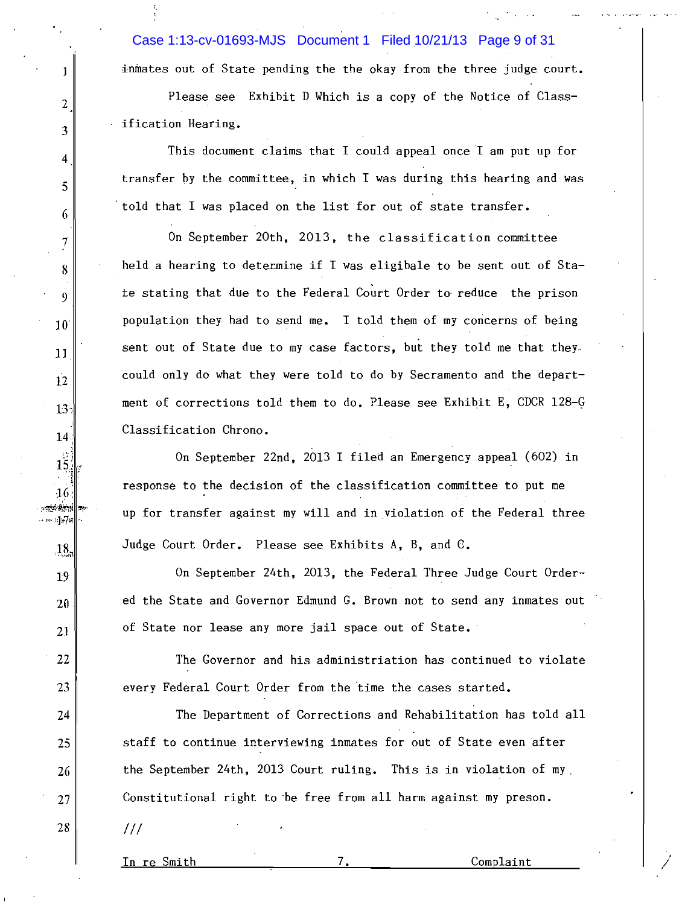Case 1:13-cv-01693-MJS Document 1 Filed 10/21/13 Page 9 of 31

inmates out of State pending the the okay from the three judge court.

Please see Exhibit D Which is a copy of the Notice of Classification Hearing.

This document claims that I could appeal once I am put up for transfer by the committee, in which I was during this hearing and was told that I was placed on the list for out of state transfer.

On September 20th, 2013, the classification committee held a hearing to determine if I was eligibale to be sent out of State stating that due to the Federal Court Order to reduce the prison population they had to send me. I told them of my concerns of being sent out of State due to my case factors, but they told me that they. could only do what they were told to do by Secramento and the department of corrections told them to do. Please see Exhibit E, CDCR 128-G Classification Chrono.

On September 22nd, 2013 I filed an Emergency appeal (602) in response to the decision of the classification committee to put me up for transfer against my will and in violation of the Federal three Judge Court Order. Please see Exhibits A, B, and C.

On September 24th, 2013, the Federal Three Judge Court Ordered the State and Governor Edmund G. Brown not to send any inmates out of State nor lease any more jail space out of State.

The Governor and his administriation has continued to violate every Federal Court Order from the time the cases started.

The Department of Corrections and Rehabilitation has told all staff to continue interviewing inmates for out of State even after the September 24th, 2013 Court ruling. This is in violation of my Constitutional right to be free from all harm against my preson.

 $111$ 

J

 $\overline{2}$ 

3

4

5

6

 $\overline{7}$ 

8

9

 $10<sup>°</sup>$ 

11

 $12$ 

 $13<sub>1</sub>$ 

 $14$ 

 $15.$ 

 $46$ بنجوبهم

- :17e

 $.18$ .

19

20

21

22

23

24

25

26

27

28

In re Smith

7.

Complaint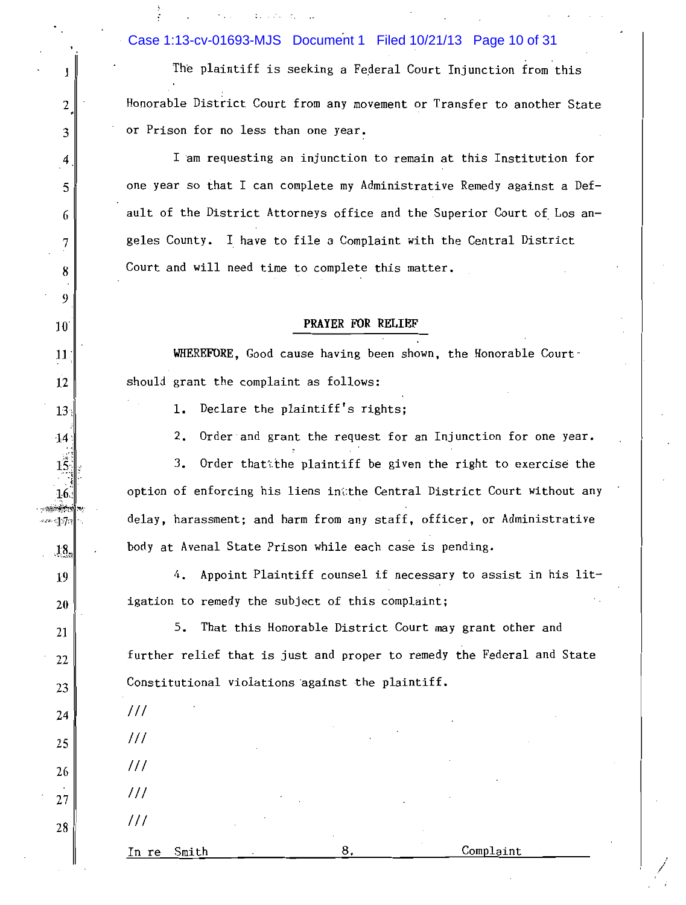Case 1:13-cv-01693-MJS Document 1 Filed 10/21/13 Page 10 of 31

1

 $\mathbf{2}$ 

3

4

5

6

7

8

9

 $10^{\circ}$ 

11

12

 $13<sub>1</sub>$ 

 $14<sup>°</sup>$ 

 $15<sub>1</sub>$ 

 $16$ بغزوجية

 $-17$ 

 $18<sub>n</sub>$ 

19

20

21

22

23

24

25

26

27

28

The plaintiff is seeking a Federal Court Injunction from this Honorable District Court from any movement or Transfer to another State or Prison for no less than one year.

I am requesting an injunction to remain at this Institution for one year so that I can complete my Administrative Remedy against a Default of the District Attorneys office and the Superior Court of Los angeles County. I have to file a Complaint with the Central District Court and will need time to complete this matter.

# PRAYER FOR RELIEF

WHEREFORE, Good cause having been shown, the Honorable Court should grant the complaint as follows:

1. Declare the plaintiff's rights;

Order and grant the request for an Injunction for one year. 2.

Order that the plaintiff be given the right to exercise the 3. option of enforcing his liens in the Central District Court without any delay, harassment; and harm from any staff, officer, or Administrative body at Avenal State Prison while each case is pending.

4. Appoint Plaintiff counsel if necessary to assist in his litigation to remedy the subject of this complaint;

5. That this Honorable District Court may grant other and further relief that is just and proper to remedy the Federal and State Constitutional violations against the plaintiff.

| Smith<br>In re                         | ٠           | 8.               | $\sim$    | Complaint         |        |
|----------------------------------------|-------------|------------------|-----------|-------------------|--------|
| 111                                    | $\sim$      | $\epsilon$       |           |                   |        |
| 111                                    | $\sim$<br>٠ |                  | $\cdot$   | $\sim$            |        |
| 111                                    |             |                  |           | $\sim$<br>$\cdot$ |        |
| 111                                    | ٠           | $\sim$<br>$\sim$ | $\bullet$ | $\cdot$           |        |
| $\cdots$<br>$\bullet$<br>$\frac{1}{2}$ |             |                  |           | $\cdot$           | $\sim$ |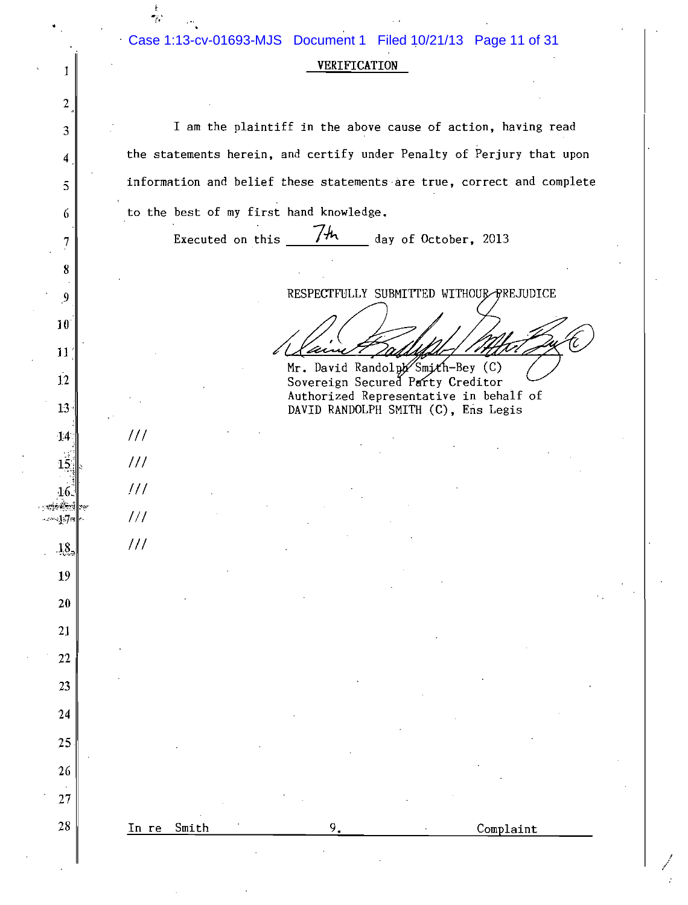| Case 1:13-cv-01693-MJS Document 1 Filed 10/21/13 Page 11 of 31 |                     |  |  |
|----------------------------------------------------------------|---------------------|--|--|
|                                                                |                     |  |  |
|                                                                | <b>VERTFTCATTON</b> |  |  |

I am the plaintiff in the above cause of action, having read the statements herein, and certify under Penalty of Perjury that upon information and belief these statements are true, correct and complete to the best of my first hand knowledge.

9.

Complaint

Executed on this

I

 $\boldsymbol{2}$ 

3

4

 $\overline{5}$ 

6

 $\overline{7}$ 

8

9

 $10$ 

11

 $1.2$ 

 $13 -$ 

 $14$ 

 $15$ 

16. nyé téri

 $\sim 17$ n

 $.18$ 

 $19$ 

20

21

22

23

24

25

26

27

28

 $111$ 

 $111$ 

 $111$ 

 $111$ 

 $111$ 

In re Smith

 $7<sup>th</sup>$  day of October, 2013

RESPECTFULLY SUBMITTED WITHOUR PREJUDICE

Mr. David Randolph Smith-Bey (C) Sovereign Secured Party Creditor Authorized Representative in behalf of DAVID RANDOLPH SMITH (C), Ens Legis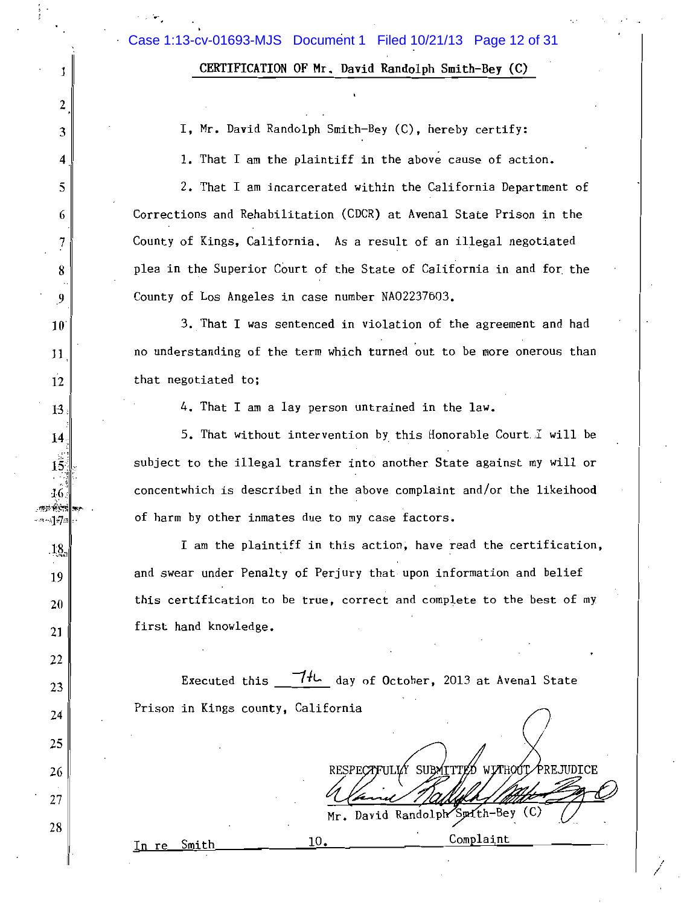CERTIFICATION OF Mr. David Randolph Smith-Bey (C)

I, Mr. David Randolph Smith-Bey (C), hereby certify:

1. That I am the plaintiff in the above cause of action.

2. That I am incarcerated within the California Department of Corrections and Rehabilitation (CDCR) at Avenal State Prison in the County of Kings, California. As a result of an illegal negotiated plea in the Superior Court of the State of California in and for the County of Los Angeles in case number NA02237603.

3. That I was sentenced in violation of the agreement and had no understanding of the term which turned out to be more onerous than that negotiated to;

4. That I am a lay person untrained in the law.

5. That without intervention by this Honorable Court I will be subject to the illegal transfer into another State against my will or concentwhich is described in the above complaint and/or the likeihood of harm by other inmates due to my case factors.

I am the plaintiff in this action, have read the certification, and swear under Penalty of Perjury that upon information and belief this certification to be true, correct and complete to the best of my first hand knowledge.

Executed this  $\frac{74L}{100}$  day of October, 2013 at Avenal State Prison in Kings county, California

10.

RESPECTFULLY SUBMITTED WITHOUT

Complaint

Mr. David Randolph Smith-Bey (C)

In re Smith

J

2

3

4

5

6

7

8

 $\overline{9}$ 

 $10^{\circ}$ 

11

12

 $13<sub>1</sub>$ 

 $14.$ 

 $15<sub>1</sub>$ 

 $16.$  $\mathbb{R}^{n}$ 

ง]≈7≋

 $18.$ 

19

20

21

22

23

24

25

26

27

28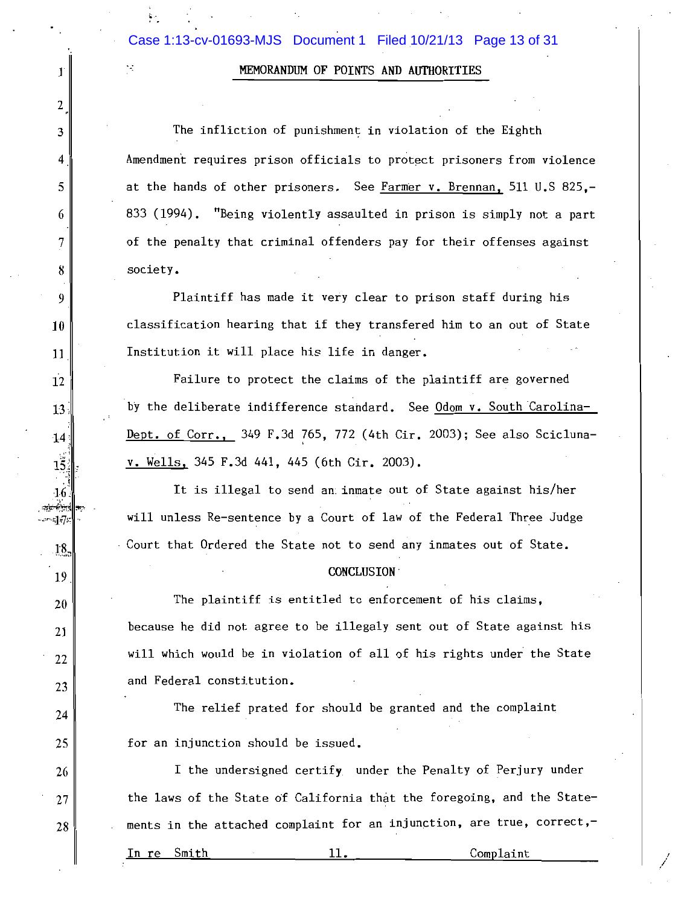# MEMORANDUM OF POINTS AND AUTHORITIES

The infliction of punishment in violation of the Eighth Amendment requires prison officials to protect prisoners from violence at the hands of other prisoners. See Farmer v. Brennan, 511 U.S 825,-833 (1994). "Being violently assaulted in prison is simply not a part of the penalty that criminal offenders pay for their offenses against society.

Plaintiff has made it very clear to prison staff during his classification hearing that if they transfered him to an out of State Institution it will place his life in danger.

Failure to protect the claims of the plaintiff are governed by the deliberate indifference standard. See Odom v. South Carolina-Dept. of Corr., 349 F.3d 765, 772 (4th Cir. 2003); See also Sciclunav. Wells, 345 F.3d 441, 445 (6th Cir. 2003).

It is illegal to send an inmate out of State against his/her will unless Re-sentence by a Court of law of the Federal Three Judge Court that Ordered the State not to send any inmates out of State.

## **CONCLUSION**

The plaintiff is entitled to enforcement of his claims, because he did not agree to be illegaly sent out of State against his will which would be in violation of all of his rights under the State and Federal constitution.

The relief prated for should be granted and the complaint for an injunction should be issued.

I the undersigned certify under the Penalty of Perjury under the laws of the State of California that the foregoing, and the Statements in the attached complaint for an injunction, are true, correct,-

Smith In re

 $\mathbf{I}$ 

2

3

4

5

6

7

8

9

10

11

 $12$ 

 $13<sup>°</sup>$ 

 $14$ 

 $15.$ 

 $4.6$ بسنه

 $-17$ 

18.

19

20

21

22

23

24

25

26

27

28

## $11.$

Complaint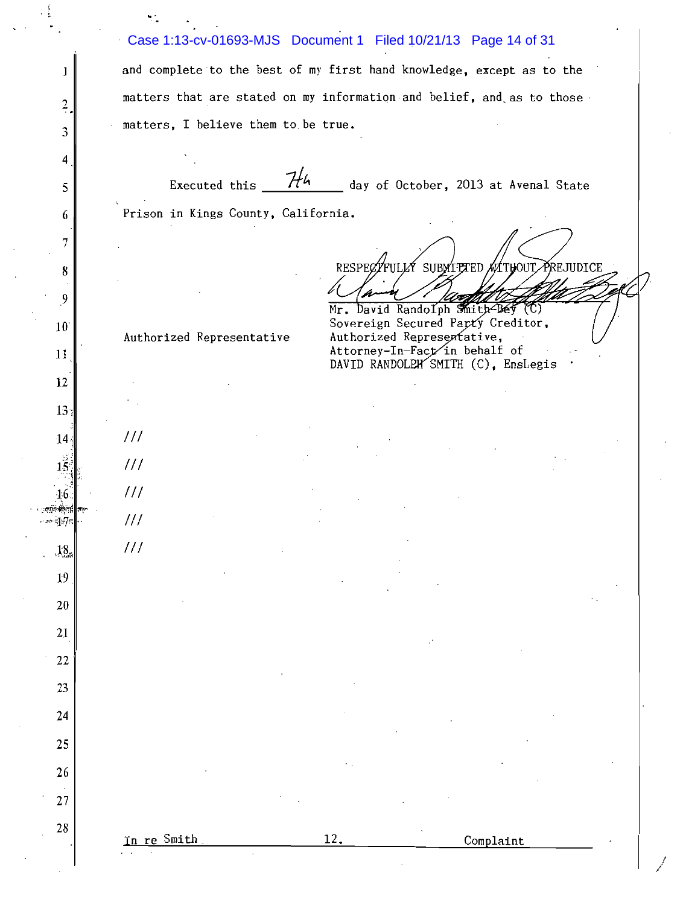|                         |                                                                       | Case 1:13-cv-01693-MJS Document 1 Filed 10/21/13 Page 14 of 31        |  |  |  |  |  |  |
|-------------------------|-----------------------------------------------------------------------|-----------------------------------------------------------------------|--|--|--|--|--|--|
| 1                       |                                                                       | and complete to the best of my first hand knowledge, except as to the |  |  |  |  |  |  |
| $\frac{2}{1}$           | matters that are stated on my information and belief, and as to those |                                                                       |  |  |  |  |  |  |
| 3                       | matters, I believe them to be true.                                   |                                                                       |  |  |  |  |  |  |
| 4                       |                                                                       |                                                                       |  |  |  |  |  |  |
| 5                       | 744<br>Executed this                                                  | day of October, 2013 at Avenal State                                  |  |  |  |  |  |  |
| 6                       | Prison in Kings County, California.                                   |                                                                       |  |  |  |  |  |  |
| 7                       |                                                                       |                                                                       |  |  |  |  |  |  |
| 8                       |                                                                       | RESPECTFULLY SUBMITTED MATHOUT PREJUDICE                              |  |  |  |  |  |  |
| $\overline{\mathbf{9}}$ |                                                                       |                                                                       |  |  |  |  |  |  |
| $10^{\circ}$            |                                                                       | Mr. David Randolph Smith Bey (C)<br>Sovereign Secured Party Creditor, |  |  |  |  |  |  |
| 11                      | Authorized Representative                                             | Authorized Representative,<br>Attorney-In-Fact in behalf of           |  |  |  |  |  |  |
| 12                      |                                                                       | DAVID RANDOLPH SMITH (C), Enslegis                                    |  |  |  |  |  |  |
| 13 <sub>1</sub>         |                                                                       |                                                                       |  |  |  |  |  |  |
| 14.                     | 111                                                                   |                                                                       |  |  |  |  |  |  |
| $1\hat{5}$              | 111                                                                   |                                                                       |  |  |  |  |  |  |
| 16.                     | 111                                                                   |                                                                       |  |  |  |  |  |  |
| $-$ and $\pi$           | $\frac{1}{2}$                                                         |                                                                       |  |  |  |  |  |  |
| $18$                    | 111                                                                   |                                                                       |  |  |  |  |  |  |
| 19                      |                                                                       |                                                                       |  |  |  |  |  |  |
| $20\,$                  |                                                                       |                                                                       |  |  |  |  |  |  |
| 21                      |                                                                       |                                                                       |  |  |  |  |  |  |
| 22                      |                                                                       |                                                                       |  |  |  |  |  |  |
| 23                      |                                                                       |                                                                       |  |  |  |  |  |  |
| 24                      |                                                                       |                                                                       |  |  |  |  |  |  |
| 25                      |                                                                       |                                                                       |  |  |  |  |  |  |
| 26                      |                                                                       |                                                                       |  |  |  |  |  |  |
| $27\,$                  |                                                                       |                                                                       |  |  |  |  |  |  |
| $28\,$                  | In re Smith                                                           | 12.<br>Complaint                                                      |  |  |  |  |  |  |
|                         |                                                                       |                                                                       |  |  |  |  |  |  |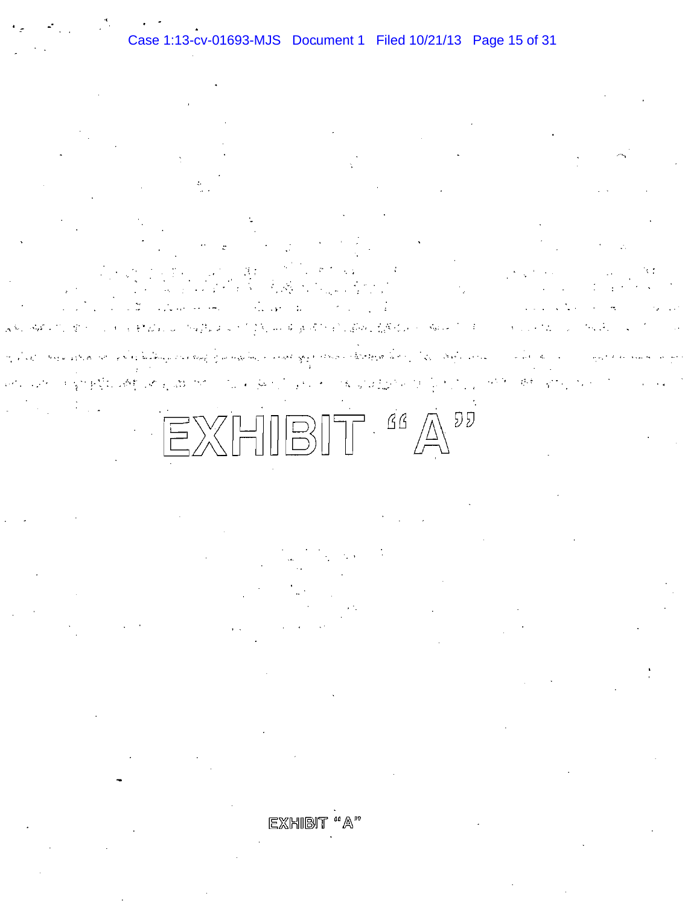**にはら、ないことをいく** المستحب وأودهن الريان الراحانية فيهوم فكالحاج والمتواطنين معتادات والمشتهيد سراوة وسهد ولتحسي سقطاءها والحالي المحالمين र है। इस उन्हें जाने के लिए 化学数组  $\sim$   $\sim$ あげる 振り込む しょうこう

 $EXHIBIT <sup>66</sup> A<sup>22</sup>$ 

EXHIBI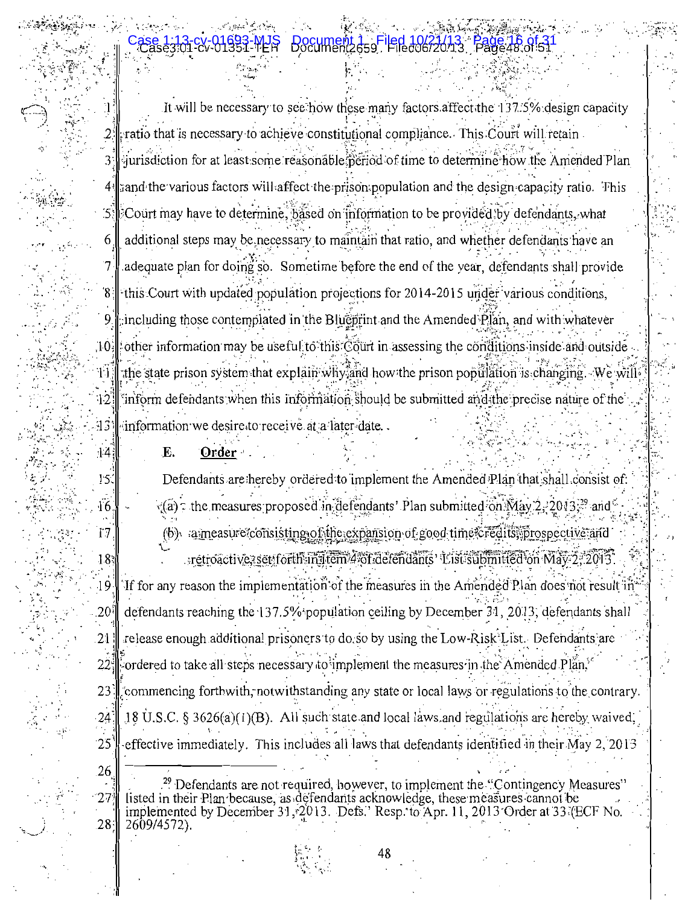It will be necessary to see how these many factors affect the 137.5% design capacity ratio that is necessary to achieve constitutional compliance. This Court will retain iurisdiction for at least some reasonable period of time to determine how the Amended Plan 3: and the various factors will affect the prison population and the design capacity ratio. This 41  $\mathcal{L}$ Court may have to determine, based on information to be provided by defendants, what additional steps may be necessary to maintain that ratio, and whether defendants have an 6 7 adequate plan for doing's o. Sometime before the end of the year, defendants shall provide  $\delta$ this Court with updated population projections for 2014-2015 under various conditions, 9 including those contemplated in the Blueprint and the Amended Plan, and with whatever other information may be useful to this  $\tilde{C}$  our in assessing the conditions inside and outside 10 the state prison system that explain why and how the prison population is changing. We will 44. inform defendants when this information should be submitted and the precise nature of the  $12$ information we desire to receive at a later date... 43

> E. Order

 $\frac{14}{5}$ 

 $15$ 

 $\overline{16}$ 

17

 $18<sup>5</sup>$ 

 $19$ 

.20

21

 $22^{\circ}$ 

23

24

 $25$ 

26

27

Defendants are hereby ordered to implement the Amended Plan that shall consist of:  $\zeta(a)$ : the measures proposed in defendants' Plan submitted on  $\text{Max } 2.2013$ <sup>29</sup> and (b) ameasure consisting of the expansion of good time credits, prospective and retroactive, set forth in Item 4 of defendants' List submitted on May 2, 2013 If for any reason the implementation of the measures in the Amended Plan does not result in defendants reaching the 137.5% population ceiling by December 31, 2013, defendants shall

release enough additional prisoners to do so by using the Low-Risk List. Defendants are ordered to take all steps necessary to implement the measures in the Amended Plan, commencing forthwith, notwithstanding any state or local laws or regulations to the contrary. 18 U.S.C.  $\S 3626(a)(1)(B)$ . All such state and local laws and regulations are hereby waived,

effective immediately. This includes all laws that defendants identified in their May 2, 2013

<sup>9</sup> Defendants are not required, however, to implement the "Contingency Measures" listed in their Plan because, as defendants acknowledge, these measures cannot be implemented by December 31, 2013. Defs.' Resp. to Apr. 11, 2013 Order at 33 (ECF No.  $28.5$ 2609/4572).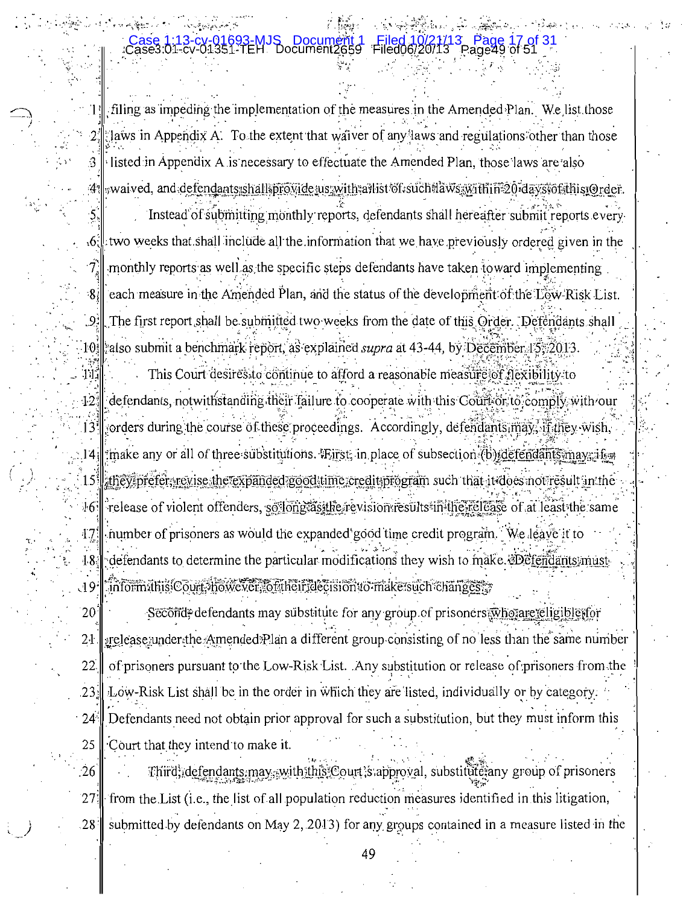# Case3:01-cv-01351-TEH\_Document

 $21$ 

:8∤

 $\|\cdot\|$  filing as impeding the implementation of the measures in the Amended Plan. We list those Jaws in Appendix A. To the extent that waiver of any laws and regulations other than those I listed in Appendix A is necessary to effectuate the Amended Plan, those laws are also :41 waived, and defendants:shall provide us with a hist of such laws with in 20 days of this Order.

Instead of submitting monthly reports, defendants shall hereafter submit reports every  $[6]$ : two weeks that shall include all the information that we have previously ordered given in the monthly reports as well as the specific steps defendants have taken toward implementing each measure in the Amended Plan, and the status of the development of the Low-Risk List.  $[9]$  The first report shall be submitted two weeks from the date of this Order. Defendants shall 10. also submit a benchmark report, as explained *supra* at 43-44, by December 15. 2013.

This Court desires to continue to afford a reasonable measure of flexibility to 111  $12^{4}$ defendants, notwithstanding their failure to cooperate with this Court or to comply with our  $13$  sorders during the course of these proceedings. Accordingly, defendants may, if they wish, 14. make any or all of three substitutions. First, in place of subsection (b) defendants may if  $\approx$ 15 fthey prefer, revise the expanded good time credition gram such that it does not result in the release of violent offenders, so long as the revision results in the release of at least the same  $16.$ number of prisoners as would the expanded good time credit program. We leave it to 471 defendants to determine the particular modifications they wish to make. Defendants must  $18$ informathistCourt. however, of their decision to make such changes : ા $9^{\cdot}$ 

Second, defendants may substitute for any group of prisoners who are eligible for  $20$ arelease under the Amended Plan a different group consisting of no less than the same number  $2<sub>1</sub>$ 22 of prisoners pursuant to the Low-Risk List. Any substitution or release of prisoners from the Low-Risk List shall be in the order in which they are listed, individually or by category.  $23.1$ Defendants need not obtain prior approval for such a substitution, but they must inform this  $24^{\circ}$ 25 Court that they intend to make it.

Third; defendants may, with this Court; sapproval, substitute any group of prisoners  $.26$ from the List (i.e., the list of all population reduction measures identified in this litigation,  $27.1$  $28:$ submitted by defendants on May 2, 2013) for any groups contained in a measure listed in the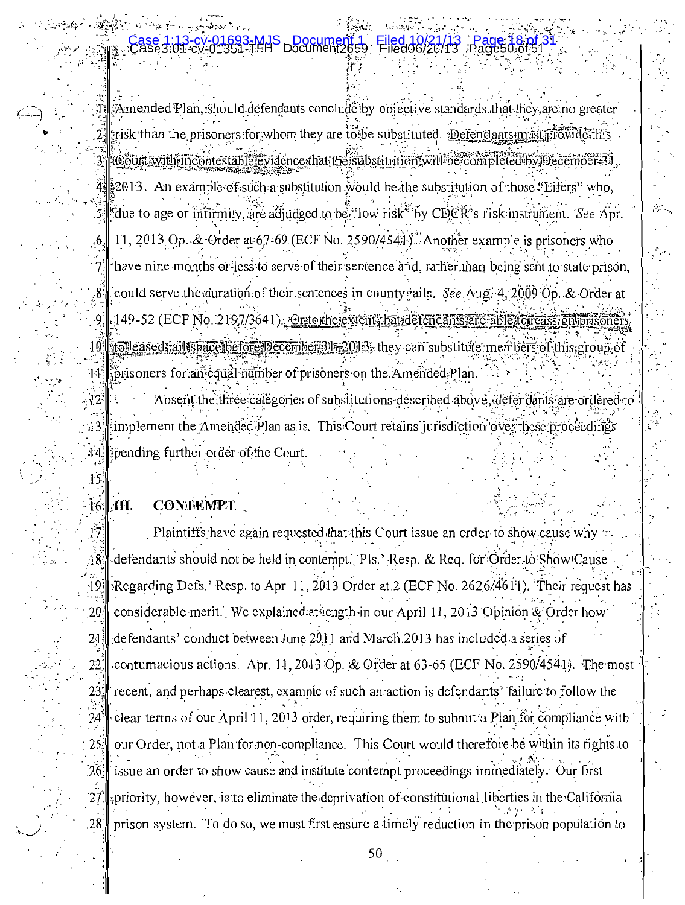# **FMJS DOCUMENT To**

Amended Plan, should defendants conclude by objective standards that they are no greater  $s$ risk than the prisoners for whom they are to be substituted. Defendants must provide this 3 Court with incontestable evidence that the substitution will be completed by December 31.  $4\frac{1}{2}$ 2013. An example of such a substitution would be the substitution of those "Eifers" who, S. cue to age or infirmity, are adjudged to be "low risk" by CDCR's risk instrument. See Apr. 11, 2013 Op. & Order at  $67-69$  (ECF No. 2590/454). Another example is prisoners who have nine months or less to serve of their sentence and, rather than being sent to state prison, could serve the duration of their sentences in county jails. See Aug. 4, 2009 Op. & Order at . 149-52 (ECF No. 2197/3641). Orto the extent that defendants are able to reassign masone -9 I tolleased tail ispace before December 31 x 2013; they can substitute, members of this group of  $10^{\circ}$ prisoners for an equal number of prisoners on the Amended Plan. 11.

Absent the three categories of substitutions described above, defendants are ordered to  $12$ implement the Amended Plan as is. This Court retains jurisdiction over these proceedings :13ª ipending further order of the Court.  $14.$ 

#### **CONTEMPT** M.

 $\cdot$  6

 $\cdot$  7.

 $\overline{8}$ 

 $15$ 

 $161$ 

 $17$ 

 $\Lambda$ 

 $\sqrt{9}$ 

20

 $2<sub>1</sub>$ 

 $22 \,$ 

23

 $24^{\circ}$ 

 $25!$ 

 $26.$ 

 $27<sup>3</sup>$ 

.28

Plaintiffs have again requested that this Court issue an order to show cause why defendants should not be held in contempt. Pls.' Resp. & Req. for Order to Show Cause Regarding Defs.' Resp. to Apr. 11, 2013 Order at 2 (ECF No. 2626/4611). Their request has considerable merit. We explained at length in our April 11, 2013 Opinion & Order how defendants' conduct between June 2011 and March 2013 has included a series of contumacious actions. Apr. 11, 2013 Op. & Order at 63-65 (ECF No. 2590/4541). The most recent, and perhaps clearest, example of such an action is defendants' failure to follow the clear terms of our April 11, 2013 order, requiring them to submit a Plan for compliance with our Order, not a Plan for non-compliance. This Court would therefore be within its rights to issue an order to show cause and institute contempt proceedings immediately. Our first priority, however, is to eliminate the deprivation of constitutional liberties in the California prison system. To do so, we must first ensure a timely reduction in the prison population to

50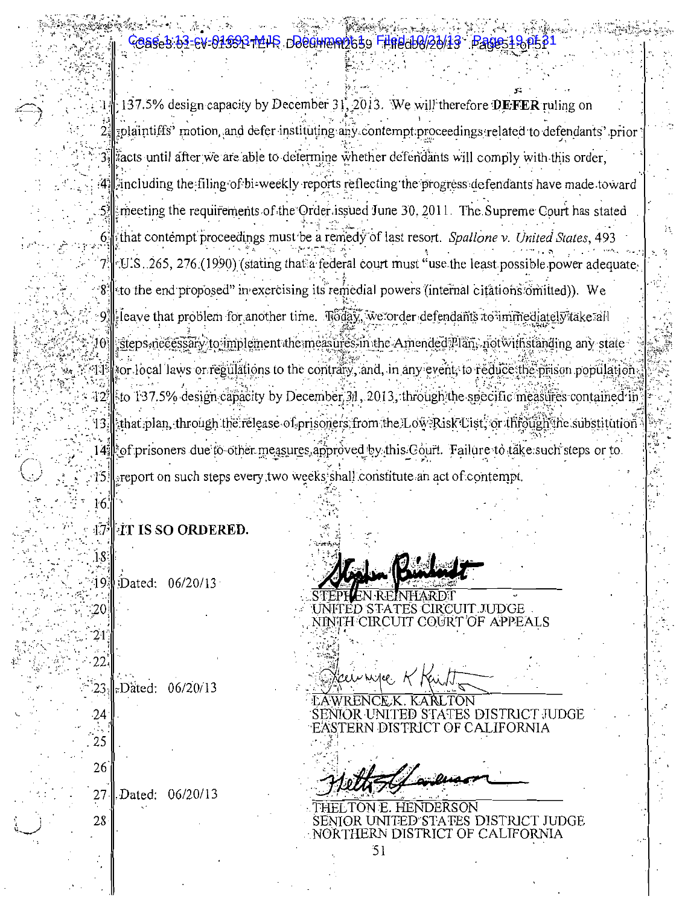#### EV-01\$93-14HS DOCOMERI25\$9 FIREd00/20 **ase 1:43**

 $1 \parallel 137.5\%$  design capacity by December 31, 2013. We will therefore DEFER ruling on polaintiffs' motion, and defer instituting any contempt proceedings related to defendants' prior 3. acts until after we are able to determine whether defendants will comply with this order, 4. as a relation of the filing of bi-weekly reports reflecting the progress defendants have made toward meeting the requirements of the Order issued June 30, 2011. The Supreme Court has stated 6 that contempt proceedings must be a remedy of last resort. Spallone v. United States, 493 7. T.U.S. 265, 276 (1990) (stating that a federal court must "use the least possible power adequate  $8$ ll<sub>itto</sub> the end proposed" in exercising its remedial powers (internal citations omitted)). We  $\frac{1}{2}$ leave that problem for another time. Thoday, we order defendants to immediately take all ∙9,∥ steps nećessary to implement the measures in the Amended Plan, not with standing any state sor local laws or regulations to the contrary, and, in any event, to reduce the prison population -144  $\frac{1}{2}$  to 137.5% design capacity by December 31, 2013, through the specific measures contained in 121 that plan, through the release of prisoners, from the Low-Risk List, or through the substitution 13. 14 cf prisoners due to other measures approved by this Court. Failure to take such steps or to areport on such steps every two weeks shall constitute an act of contempt.  $15!$ 

#### **FIT IS SO ORDERED.**  $17<sup>3</sup>$

Dated: 06/20/13

16

 $18$ 

19.

20

21

22

 $23,$ 

24

25

26

28

Dated: 06/20/13

Dated: 06/20/13 27

**Andrea** 

T JUDGE NINTH CIRCUIT COURT OF APPEALS

ES DISTRICT JUDGE

 $51$ 

THERN DISTRICT OF CALIFORNIA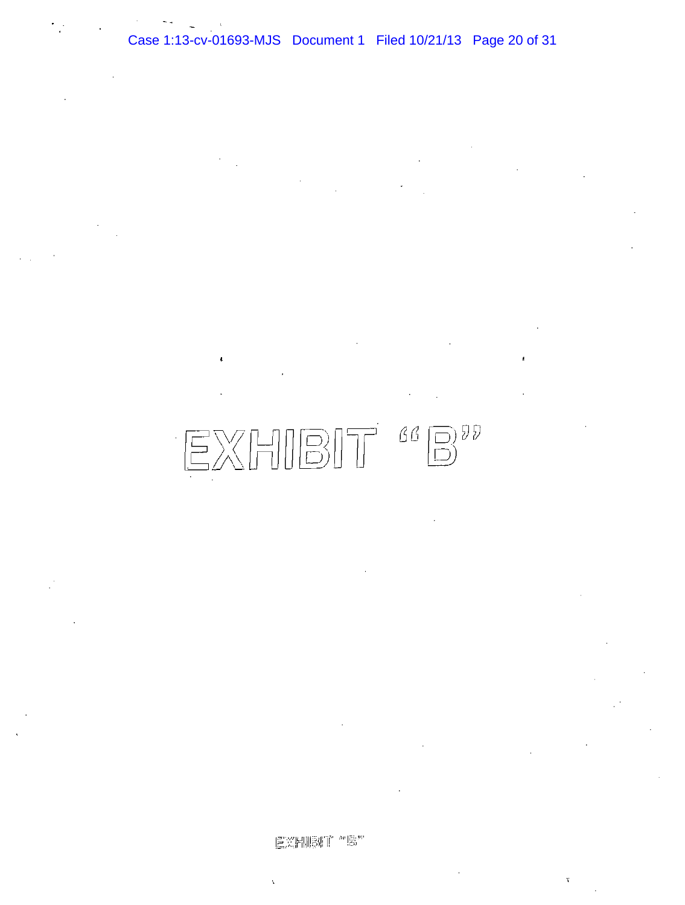

医类剧肠师 "嗯"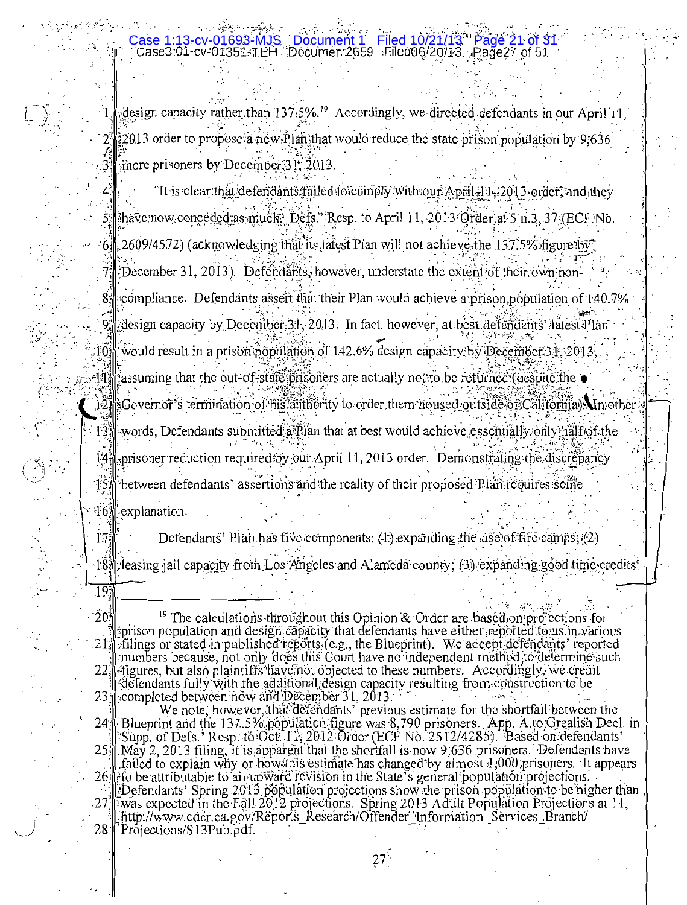# Case 1:13-cv-01693-MJS Document 1 Filed 10/21/13\* Page 21 of 3<br>Case3:01-cv-01351-TEH Document2659 Filed06/20/13 Page27 of 51

design capacity rather than  $137.5\%$ .<sup>19</sup> Accordingly, we directed defendants in our April 11,  $2013$  order to propose a néw Plan that would reduce the state prison population by 9,636 3 more prisoners by December 31, 2013.

Tt is clear that defendants failed to comply with our April. 14.2013 order, and they thave now conceded as much. Defs." Resp. to April 11, 2013 Order at 5 n.3, 37 (ECF No. 6. 2609/4572) (acknowledging that its latest Plan will not achieve the 137.5% figure by 7: December 31, 2013). Defendants, however, understate the extent of their own non-8: compliance. Defendants assert that their Plan would achieve a prison population of 140.7% design capacity by December 31, 2013. In fact, however, at best defendants latest Plan ioil would result in a prison population of 142.6% design capacity by December 31, 2013,  $\mathbb{R}^2$  assuming that the out-of-state prisoners are actually not to be returned (despite the il2] Governor's termination of his authority to order them housed outside of California). In other words, Defendants submitted a Plan that at best would achieve essentially only half of the prisoner reduction required by our April 11, 2013 order. Demonstrating the discrepancy between defendants' assertions and the reality of their proposed Plan requires some explanation.

Defendants' Plan has five components: (1) expanding the use of fire camps; (2) 18. feasing jail capacity from Los Angeles and Alameda county; (3) expanding good time credits<sup>\*</sup>

 $\overline{19}$ 

 $13<sup>3</sup>$ 

 $14<sup>1</sup>$ 

 $15<sub>1</sub>$ 

 $16<sup>1</sup>$ 

 $17<sub>i</sub>$ 

 $20^{\circ}$ <sup>19</sup> The calculations throughout this Opinion & Order are based on projections for prison population and design capacity that defendants have either reported to us in various  $21.$ filings or stated in published reports (e.g., the Blueprint). We accept defendants' reported numbers because, not only does this Court have no independent method to determine such figures, but also plaintiffs have not objected to these numbers. Accordingly, we credit  $22.$ defendants fully with the additional design capacity resulting from construction to be  $23:$ completed between now and December  $31, 2013$ .

We note, however, that defendants' previous estimate for the shortfall between the Blueprint and the 137.5% population figure was 8,790 prisoners. App. A to Grealish Decl. in Supp. of Defs.' Resp. to Oct. 11, 2012 Order (ECF No. 2512/4285). Based on defendants'  $24<sub>7</sub>$  $25 \mu$ ay 2, 2013 filing, it is apparent that the shortfall is now 9,636 prisoners. Defendants have failed to explain why or how this estimate has changed by almost 1,000 prisoners. It appears to be attributable to an upward revision in the State's general population projections.  $26$ Defendants' Spring 2013 population projections show the prison population to be higher than  $.27^{1}$ was expected in the Fall 2012 projections. Spring 2013 Adult Population Projections at 11, http://www.cdcr.ca.gov/Reports\_Research/Offender Information\_Services\_Branch/ 28 Projections/S13Pub.pdf.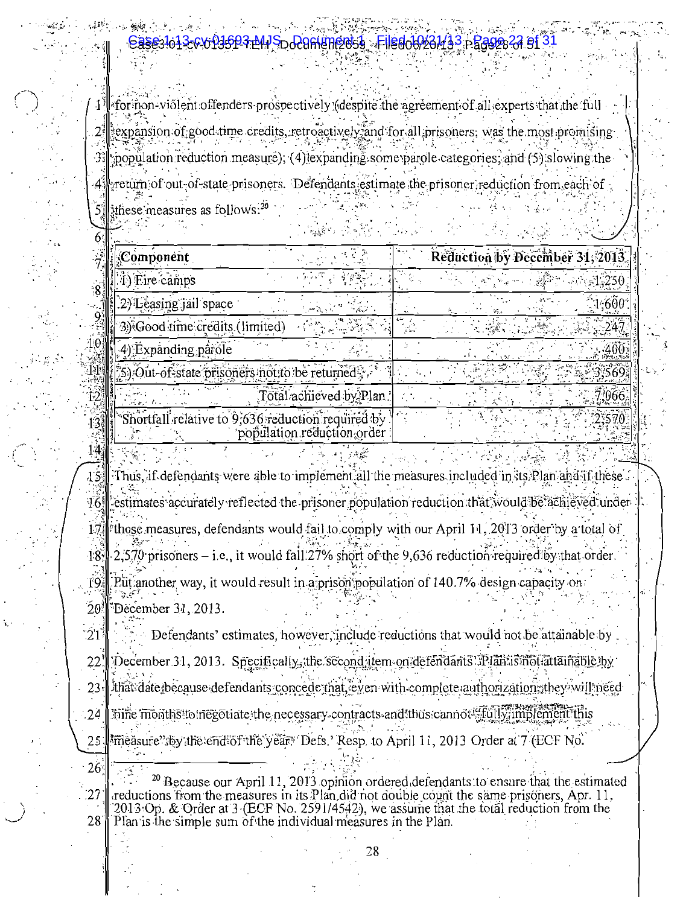# D<del>o296Nm2059 -Filedo6023143 pBast</del>

[for inon-violent offenders prospectively (despite the agreement of all experts that the full  $\cdot$ expansion of good time credits, retroactively, and for all prisoners, was the most promising  $2^{\frac{1}{2}}$ population reduction measure); (4) expanding some parole categories; and (5) slowing the  $\cdot$ 3. return of out-of-state prisoners. Defendants estimate the prisoner reduction from each of  $\mathcal{L} = \mathcal{L}$ these measures as follows: $20$ 

|                                                   | <b>Service</b>             |  |                                 |       |
|---------------------------------------------------|----------------------------|--|---------------------------------|-------|
| Component                                         |                            |  | Reduction by December 31, 2013. |       |
| i) Eire camps                                     |                            |  |                                 |       |
| 2) Leasing jail space                             |                            |  |                                 | 600   |
| 3) Good time credits (limited)                    |                            |  |                                 |       |
| 4) Expanding parole                               |                            |  |                                 | 400   |
| 5) Out-of-state prisoners motito be returned.     |                            |  |                                 | 3.569 |
|                                                   | Total achieved by Plan.    |  |                                 | : 066 |
| Shortfall relative to 9,636 reduction required by | population reduction order |  |                                 | 2.570 |

Thus, if defendants were able to implement all the measures included in its Plan and if these .  $45$ estimates accurately reflected the prisoner population reduction that would be achieved under  $-161$ those measures, defendants would fail to comply with our April 11, 2013 order by a total of  $17.$  $2,570$  prisoners – i.e., it would fall  $27\%$  short of the 9,636 reduction required by that order.  $-18$ Put another way, it would result in a prison population of 140.7% design capacity on '19  $\dot{2}0$ December 31, 2013.

 $14.$ 

 $\tilde{2}1$ Defendants' estimates, however, include reductions that would not be attainable by December 31, 2013. Specifically, the second item on defendants : Plan is motiattainable by 22 Ithat date because defendants concede that leven with complete authorization; they will need  $23<sup>°</sup>$  $.24$ hine months to inegotiate the necessary contracts and thus cannot folly implement this measure"; by the end of the year. Defs. Resp. to April 11, 2013 Order at 7 (ECF No. 25

 $26^{\circ}$ <sup>20</sup> Because our April 11, 2013 opinion ordered defendants to ensure that the estimated reductions from the measures in its Plan did not double count the same prisoners, Apr. 11, 27 2013 Op. & Order at 3 (ECF No. 2591/4542), we assume that the total reduction from the  $28$ Plan is the simple sum of the individual measures in the Plan.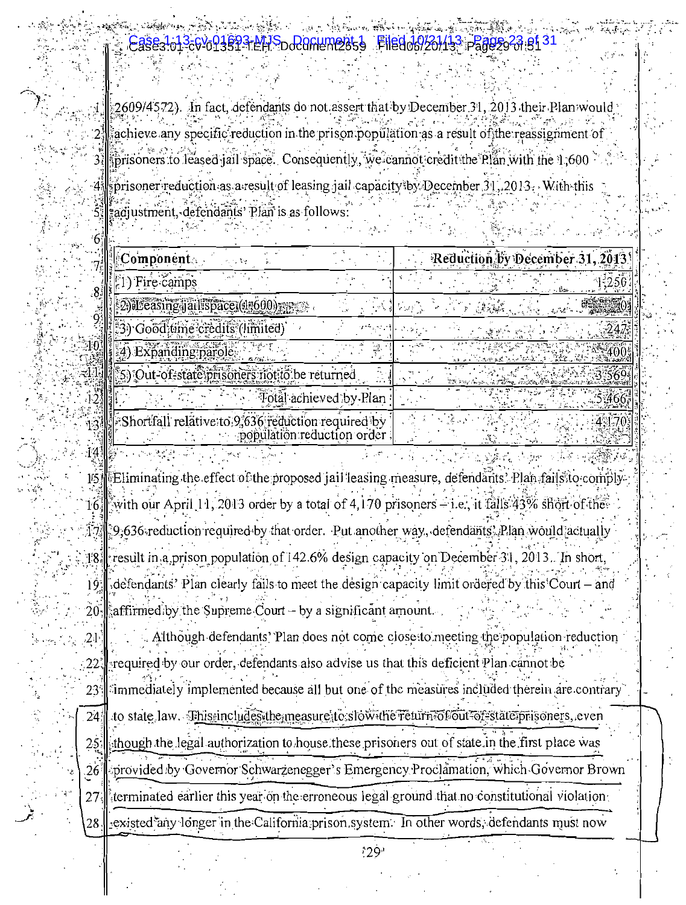2609/4572). In fact, defendants do not assert that by December 31, 2013 their achieve any specific reduction in the prison population as a result of the reassignment of prisoners to leased jail space. Consequently, we cannot credit the Plan with the 1,600 sprisoner reduction as a result of leasing jail capacity by December 31, 2013. With this adjustment, defendants' Plan is as follows:

| Component                                                                       | Reduction by December 31, 2013 |
|---------------------------------------------------------------------------------|--------------------------------|
| ) Fire camps                                                                    |                                |
| 2) Leasing jail space (17600)                                                   |                                |
| 3) Good time credits (limited)                                                  |                                |
| 4) Expanding parole                                                             |                                |
| 5) Out-of-state prisoners not to be returned                                    |                                |
| Total achieved by Plan                                                          |                                |
| Shortfall relative to 9,636 reduction required by<br>population reduction order |                                |

Eliminating the effect of the proposed jail leasing measure, defendants. Plan fails to comply 15) with our April 11, 2013 order by a total of 4,170 prisoners  $-$ i.e., it falls 43% short of the  $16<sub>i</sub>$ 9,636 reduction required by that order. Put another way, defendants? Plan would actually result in a prison population of 142.6% design capacity on December 31, 2013. In short,  $18.$ defendants' Plan clearly fails to meet the design capacity limit ordered by this Court – and 19 affirmed by the Supreme Court  $-$  by a significant amount. 20

:141

Although defendants' Plan does not come close to meeting the population reduction  $21$ required by our order, defendants also advise us that this deficient Plan cannot be :22 immediately implemented because all but one of the measures included therein are contrary  $23^{\circ}$ to state law. Ehissincludes the measure to slow the return of out of state prisoners, even  $24<sup>°</sup>$ though the legal authorization to house these prisoners out of state in the first place was 25 provided by Governor Schwarzenegger's Emergency Proclamation, which Governor Brown  $.26$ terminated earlier this year on the erroneous legal ground that no constitutional violation 27 existed any longer in the California prison system. In other words, defendants must now

 $129<sup>1</sup>$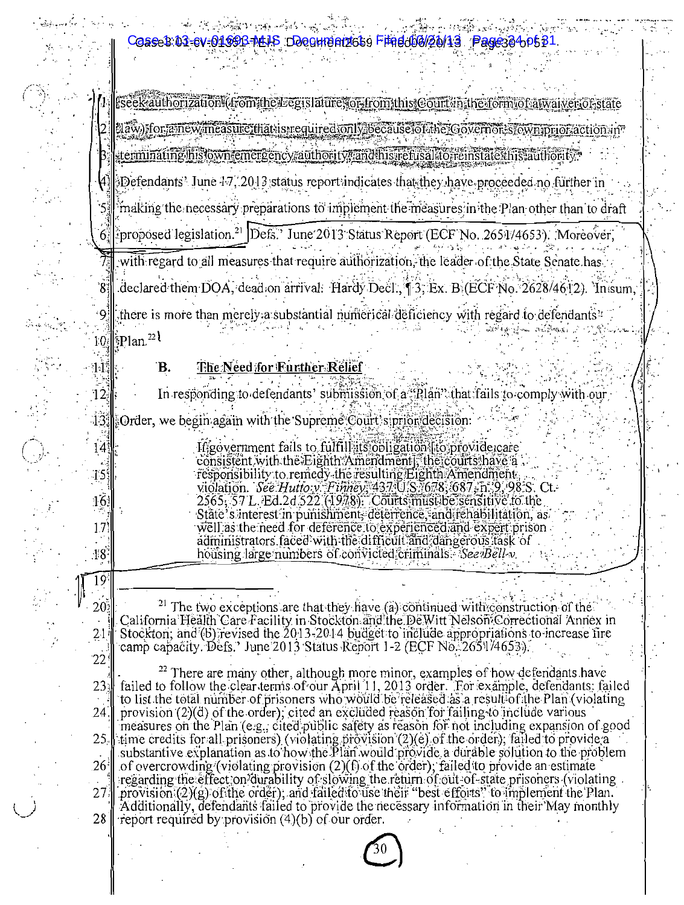Coase 1:01-cv-0169B-MLIS Documentos Findology 43 Page384 p5 81

rseek authorization (from the Legislature, or from this Court in the form of a waiver of state elaw) for a new measure that is required only because of the Governor stown or action in '민준은 '정도로 ' terminating his own emergency authority. and his refusalito reinstate this authority

 $\Theta$  Defendants' June  $4\sqrt{2}$  2013 status report indicates that they have proceeded no further in making the necessary preparations to implement the measures in the Plan other than to draft

6 roposed legislation.<sup>21</sup> Defs.' June 2013 Status Report (ECF No. 2651/4653). Moreover, with regard to all measures that require authorization, the leader of the State Senate has

declared them DOA, dead on arrival: Hardy Decl., 13, Ex. B. (ECF No. 2628/4612). In sum. there is more than merely a substantial numerical deficiency with regard to defendants? ≀ٍه∍ \$Plan.<sup>22</sup> EO

#### B. The Need for Further Relief

 $11\,$ 

 $14<sup>3</sup>$ 

 $15<sup>1</sup>$ 

 $16$ 

17

 $48^{\circ}$ 

19

 $20<sub>2</sub>$ 

 $2<sub>1</sub>$ 

 $22$ 

alining<br>alining

In responding to defendants' submission of a "Plan" that fails to comply with our  $12^{\frac{1}{3}}$  $13$   $\&$  Order, we begin again with the Supreme Court's prior decision:

> If government fails to fulfill its obligation to provide care consistent with the Eighth Amendment, the courts have a responsibility to remedy the resulting Eighth Amendment, violation. See Hutto v. Finney, 437 U.S. 678; 687, h. 9, 98:S. Ct.<br>2565, 57 L. Ed.2d 522 (1978). Courts must be sensitive to the State's interest in punishment, deterrence, and rehabilitation, as well as the need for deference to experienced and expert prison. administrators faced with the difficult and dangerous fask of housing large numbers of convicted criminals. See *Bell-v*.

<sup>21</sup> The two exceptions are that they have (a) continued with construction of the California Health Care Facility in Stockton and the DeWitt Nelson Correctional Annex in Stockton; and (b) revised the 2013-2014 budget to include appropriations to increase fire camp capacity. Defs.' June 2013 Status Report 1-2 (ECF No. 2651/4653)

<sup>22</sup> There are many other, although more minor, examples of how defendants have failed to follow the clear terms of our April 11, 2013 order. For example, defendants: failed<br>to list the total number of prisoners who would be released as a result of the Plan (violating  $23<sub>1</sub>$  $24.$ provision (2)(d) of the order); cited an excluded reason for failing to include various measures on the Plan (e.g., cited public safety as reason for not including expansion of good  $25<sub>1</sub>$ time credits for all prisoners) (violating provision (2)(e) of the order); failed to provide a substantive explanation as to how the Plan would provide a durable solution to the problem of overcrowding (violating provision (2)(f) of the order), failed to provide an estimate  $26^{\frac{1}{2}}$ regarding the effect on durability of slowing the return of out-of-state prisoners (violating provision (2)(g) of the order), and failed to use their "best efforts" to implement the Plan. 27 Additionally, defendants failed to provide the necessary information in their May monthly 28 report required by provision (4)(b) of our order.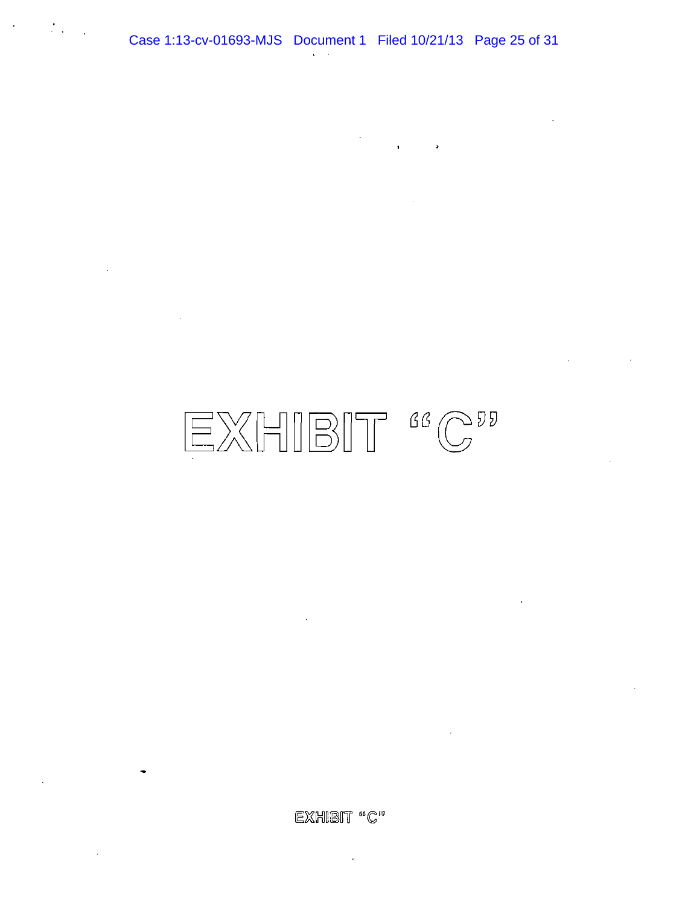$\mathcal{F}_{\text{max}}$ 

 $\overline{a}$ 

 $\mathbf{I}$ 

 $\mathcal{I}$ 

EXHIBIT "C"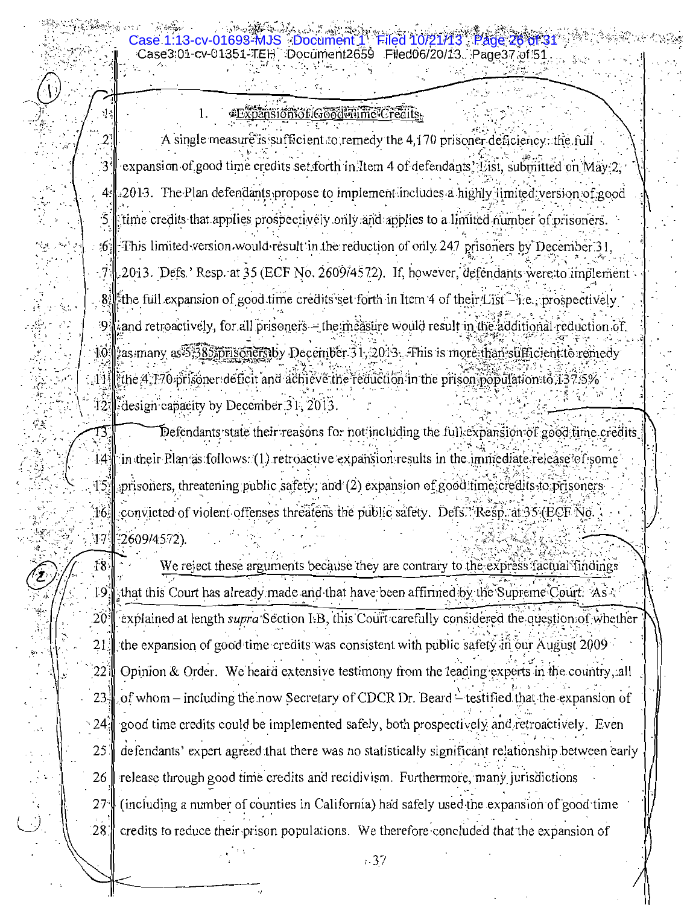**\*Expansion of Good Time Credits.** 1.

3-cv-01693-MJS ·Document 1

1.

 $\ddot{\phantom{a}}$  .

 $\sqrt{2}$ 

 $\frac{M}{2}$  .

A single measure is sufficient to remedy the 4,170 prisoner deficiency: the full expansion of good time credits set forth in Item 4 of defendants. List, submitted on May 2.  $3^{\circ}$ 2013. The Plan defendants propose to implement includes a highly limited version of good  $4<sup>1</sup>$ time credits that applies prospectively only and applies to a limited number of prisoners.  $\mathbb{R}$  This limited version would result in the reduction of only 247 prisoners by December 31.  $6 \,$  $\langle 7 \rangle$ , 2013. Defs. Resp. at 35 (ECF No. 2609/4572). If, however, defendants were to implement  $8$ .  $\frac{1}{2}$  the full expansion of good time credits set forth in Item 4 of their List—lie. prospectively and retroactively, for all prisoners – the measure would result in the additional reduction of 10 as many as 5:385 prisoners by December 31, 2013. This is more than sufficient to remedy  $1.11$ ]. the 4,170 prisoner deficit and achieve the reduction in the prison population to  $137.5\%$ 12. design capacity by December 31, 2013.

Defendants state their reasons for not including the full expansion of good time credits T3. in their Plan as follows: (1) retroactive expansion results in the immediate release of some  $14.$  $15.$ aprisoners, threatening public safety; and  $(2)$  expansion of good time credits to prisoners convicted of violent offenses threatens the public safety. Defs. *Resp. at 35* (ECF No. 16. 42609/4572).  $17$ 

 $\overline{18}$ We reject these arguments because they are contrary to the express factual findings 19 that this Court has already made and that have been affirmed by the Supreme Court. As  $\sim$  $20^{\circ}$ explained at length *supra* Section I.B, this Court carefully considered the question of whether the expansion of good time credits was consistent with public safety in our August 2009  $21$ Opinion & Order. We heard extensive testimony from the leading experts in the country, all '22 I  $23.3$ of whom – including the now Secretary of CDCR Dr. Beard – testified that the expansion of good time credits could be implemented safely, both prospectively and retroactively. Even  $24:$ 25 defendants' expert agreed that there was no statistically significant relationship between early 26 release through good time credits and recidivism. Furthermore, many jurisdictions 27 (including a number of counties in California) had safely used the expansion of good time  $28$ credits to reduce their prison populations. We therefore concluded that the expansion of

 $1.37$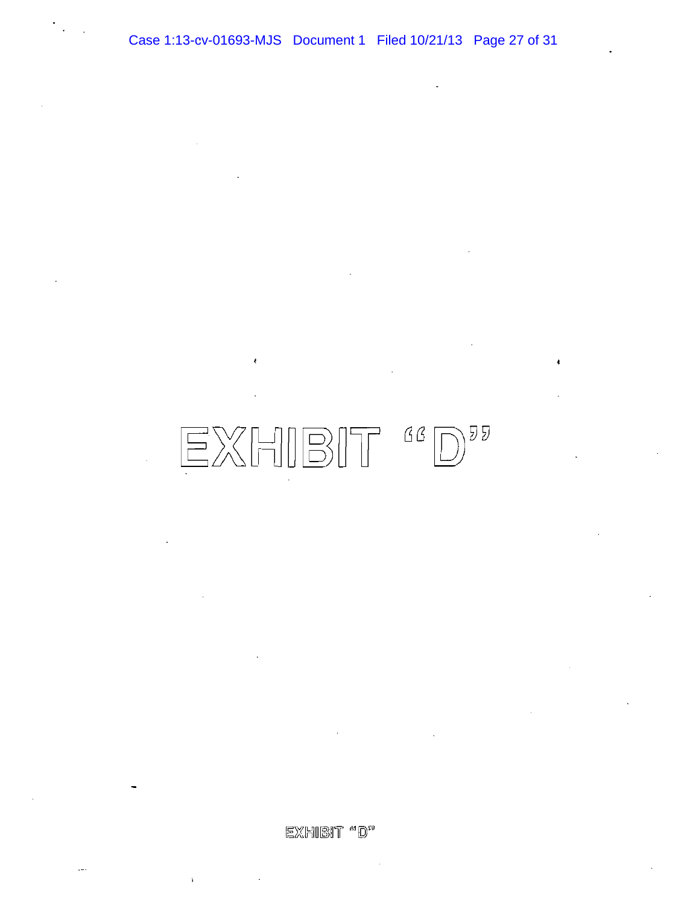# $\textcolor{red}{\textbf{EXHIBIT}} \textcolor{red}{\textbf{66}} \textcolor{red}{\textbf{D}} \textcolor{red}{\textbf{97}}$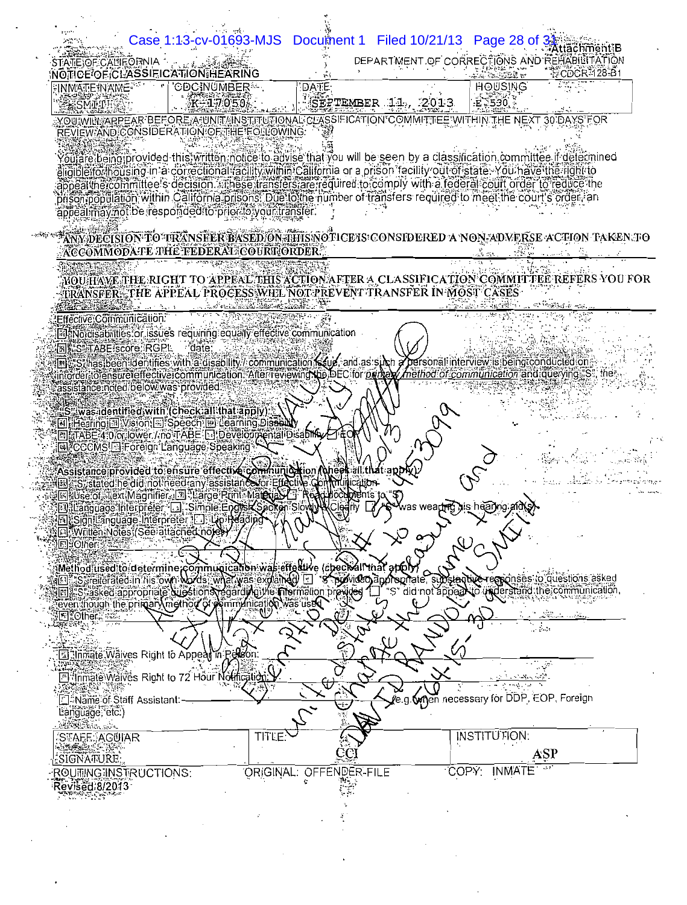|                                               | Case 1:13-cv-01693-MJS                                                                                                                                                                                                                              |                         | Document 1 Filed 10/21/13 Page 28 of              |                                                                             | Attachment-B |
|-----------------------------------------------|-----------------------------------------------------------------------------------------------------------------------------------------------------------------------------------------------------------------------------------------------------|-------------------------|---------------------------------------------------|-----------------------------------------------------------------------------|--------------|
| STATEJOF CALIFÓRNIA                           |                                                                                                                                                                                                                                                     |                         |                                                   | DEPARTMENT OF CORRECTIONS AND REHABILITATION                                | CDCR-128-B1  |
| INMATE INAME                                  | NOTICE OF CLASSIEICATION HEARING<br><b>CDCINUMBER</b>                                                                                                                                                                                               | DATE:                   |                                                   | <b>HOUSING</b>                                                              |              |
| SMITH                                         | K-17050                                                                                                                                                                                                                                             |                         | SEPTEMBER 11, 2013                                | $E \le 530$                                                                 |              |
|                                               | YOU\$WINGRARPEAR BEFOREASUNIT/{INSTITUTIONAL CLASSIFICATION*COMMITTEE*WITHIN THE NEXT 30 DAYS FOR<br>REVIEW AND CONSIDERATION OF THE FOLLOWING:                                                                                                     |                         |                                                   |                                                                             |              |
|                                               |                                                                                                                                                                                                                                                     |                         |                                                   |                                                                             |              |
|                                               | outare being provided this written notice to advise that you will be seen by a classification committee if determined<br>elidiblefforthousing in a correctional facility within California or a prison facility out of state. You have the right to |                         |                                                   |                                                                             |              |
|                                               | appeal the committee's decision. These transfers are required to comply with a federal court order to reduce the                                                                                                                                    |                         |                                                   |                                                                             |              |
|                                               | prisonipopulation within California prisons. Due to the number of transfers required to meet the court's order an                                                                                                                                   |                         |                                                   |                                                                             |              |
|                                               | appeal may not be responded to prior to your transfer.                                                                                                                                                                                              |                         |                                                   |                                                                             |              |
|                                               | .<br>ANMDECISION TO TRANSFER BASED ON THIS NOTICE IS CONSIDERED A NON-ADVERSE ACTION TAKEN TO                                                                                                                                                       |                         |                                                   |                                                                             |              |
|                                               | ACCOMMODATE THE FEDERAL COURT ORDER.                                                                                                                                                                                                                |                         |                                                   |                                                                             |              |
|                                               | WOUHAWE THE RIGHT TO APPEAL THIS ACTION AFTER A CLASSIFICATION COMMITTEE REFERS YOU FOR                                                                                                                                                             |                         |                                                   |                                                                             |              |
|                                               | TRANSFER: THE APPEAL PROCESS WILL NOT PREVENT TRANSFER IN MOST CASES                                                                                                                                                                                |                         |                                                   |                                                                             |              |
| Effective Communication.                      |                                                                                                                                                                                                                                                     |                         |                                                   |                                                                             |              |
|                                               | ial Mordisabilities or issues requiring equally effective communication                                                                                                                                                                             |                         |                                                   |                                                                             |              |
| <b>IN AS TABE score: RGPL</b>                 | date:                                                                                                                                                                                                                                               |                         |                                                   |                                                                             |              |
|                                               | in S. has been identifies with a disability / communication <b>fistual</b> , and as such a personal interview is being conducted on .<br>Interdet to ensure ferfective communication. After reviewing the DEC for <i>principal interior c</i>       |                         |                                                   |                                                                             |              |
|                                               | assistance noted below was provided                                                                                                                                                                                                                 |                         |                                                   |                                                                             |              |
|                                               | "S" was identified with (check all that apply):                                                                                                                                                                                                     |                         |                                                   |                                                                             |              |
|                                               | El Hearing El Vision El Speech El Learning Disablity<br>回面 ABE:4:0:or lower./.novi ABE:[ ]:DevelopmentaliDisability                                                                                                                                 |                         |                                                   |                                                                             |              |
|                                               | <b>NCCCMS</b> Foreign Language Speaking                                                                                                                                                                                                             |                         |                                                   |                                                                             |              |
|                                               | Assistance provided to ensure effective communication (thees all that apply).                                                                                                                                                                       |                         |                                                   |                                                                             |              |
|                                               | En de Constated heidighotheed any assistance for Effective Contribution<br><b>IN JUse of Tiext:Magnifier, IN Juarge Print-Material Li Rea</b>                                                                                                       |                         |                                                   |                                                                             |              |
|                                               | allanguage Interpreter a Simple English Spoken Slow W.Cledn<br><b>In Signitanguage Interpreter In Lip Reading</b>                                                                                                                                   |                         | was wear <del>tn</del> g his hearing              |                                                                             |              |
|                                               | <b>El Written Notes (See attached notes</b>                                                                                                                                                                                                         |                         |                                                   |                                                                             |              |
| 图:Other:                                      |                                                                                                                                                                                                                                                     |                         |                                                   | <b>SNE</b>                                                                  |              |
|                                               | iMethod üsed¦tõ determine çõmmuqication was effective (checivall that aptoly                                                                                                                                                                        |                         |                                                   |                                                                             |              |
|                                               | [9] Sureiterated in his own words, what was explained<br>El Stasked appropriate questions regarding the mormation provider                                                                                                                          |                         | yovideo appropriate, subs<br>'S" did not appeakto | <b>antyč-respo</b> nšes to questions asked<br>understand the communication. |              |
| E TOther,                                     | even though the primary method of pommunication was                                                                                                                                                                                                 |                         |                                                   |                                                                             |              |
|                                               |                                                                                                                                                                                                                                                     |                         |                                                   | $-20.3$                                                                     |              |
|                                               | Li Inmate Waives Right to Appear in Person                                                                                                                                                                                                          |                         |                                                   |                                                                             |              |
|                                               |                                                                                                                                                                                                                                                     |                         |                                                   |                                                                             |              |
|                                               | <b>El Inmate Waives Right to 72 Hour Notification</b>                                                                                                                                                                                               |                         |                                                   |                                                                             |              |
| ⊡ Name of Staff Assistant:<br>Language, etc.) |                                                                                                                                                                                                                                                     | Ť.                      |                                                   | g. Mgan necessary for DDP, EOP, Foreign                                     |              |
|                                               |                                                                                                                                                                                                                                                     |                         |                                                   |                                                                             |              |
| <b>ANSER</b> SALES                            |                                                                                                                                                                                                                                                     |                         |                                                   | INSTITUTION:                                                                |              |
| STAFF: AGUIAR                                 |                                                                                                                                                                                                                                                     | TITL                    |                                                   |                                                                             |              |
| SIGNATURE.<br><u>ROUTING INSTRUCTIONS:</u>    |                                                                                                                                                                                                                                                     | ORIGINAL: OFFENDER-FILE |                                                   | ASP<br>COPY:<br><b>INMATE</b>                                               |              |

l,

 $\overline{\phantom{a}}$ 

l,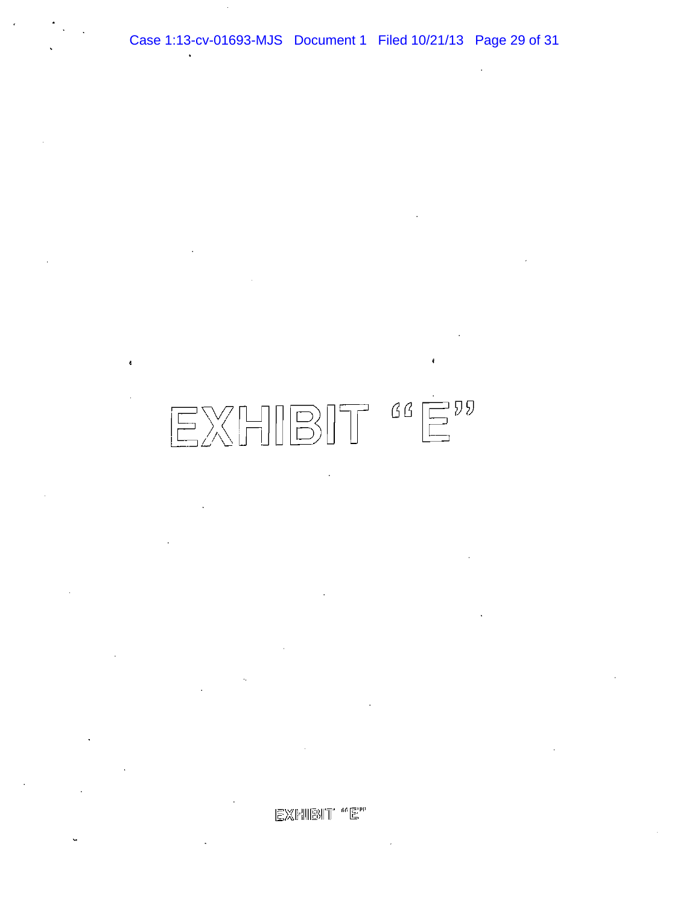Case 1:13-cv-01693-MJS Document 1 Filed 10/21/13 Page 29 of 31

# $\begin{tabular}{c} {\bf \small{EX}} \\ {\bf \small{[}}\\ {\bf \small{[}}\\ \end{tabular}$

 $\text{EXFMBIT} \text{ ``E''}$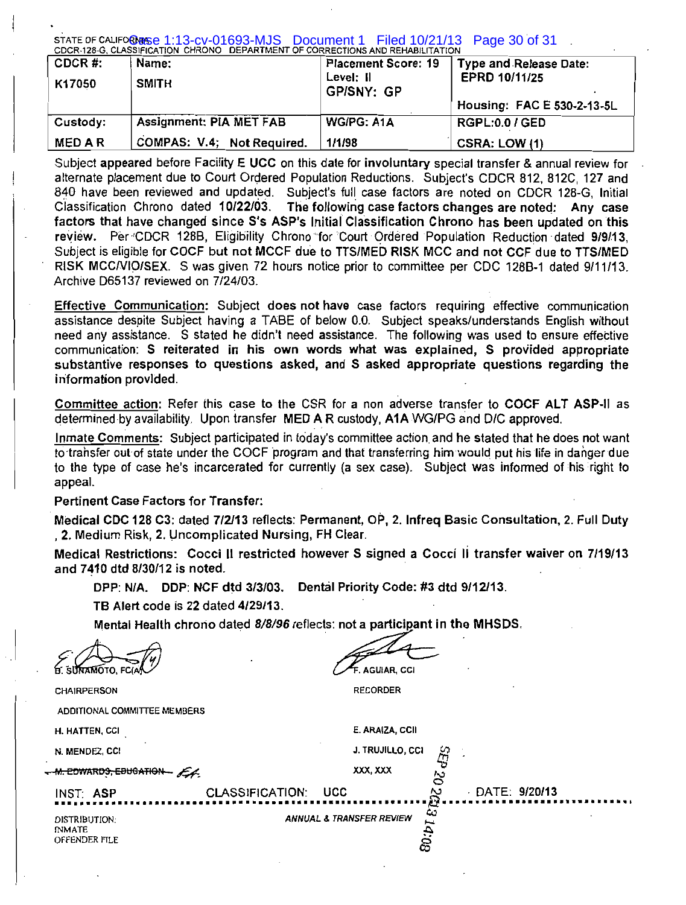STATE OF CALIFORNISE 1:13-CV-01693-MJS DOCUMENt 1 Filed 10/21/13<br>CDCR-128-G. CLASSIFICATION CHRONO DEPARTMENT OF CORRECTIONS AND REHABILITATION Page 30 of 31

| CDCR#:<br>K17050 | Name:<br><b>SMITH</b>          | <b>Placement Score: 19</b><br>Level: II<br><b>GP/SNY: GP</b> | Type and Release Date:<br>EPRD 10/11/25<br>Housing: FAC E 530-2-13-5L |
|------------------|--------------------------------|--------------------------------------------------------------|-----------------------------------------------------------------------|
| Custody:         | <b>Assignment: PIA MET FAB</b> | WG/PG: A1A                                                   | <b>RGPL:0.0 / GED</b>                                                 |
| <b>MEDAR</b>     | COMPAS: V.4; Not Required.     | 1/1/98                                                       | CSRA: LOW (1)                                                         |

Subiect appeared before Facility E UCC on this date for involuntary special transfer & annual review for alternate placement due to Court Ordered Population Reductions. Subject's CDCR 812, 812C, 127 and 840 have been reviewed and updated. Subject's full case factors are noted on CDCR 128-G, Initial Classification Chrono dated 10/22/03. The following case factors changes are noted: Any case factors that have changed since S's ASP's Initial Classification Chrono has been updated on this review. Per CDCR 128B, Eligibility Chrono for Court Ordered Population Reduction dated 9/9/13. Subject is eligible for COCF but not MCCF due to TTS/MED RISK MCC and not CCF due to TTS/MED RISK MCC/VIO/SEX. S was given 72 hours notice prior to committee per CDC 128B-1 dated 9/11/13. Archive D65137 reviewed on 7/24/03.

Effective Communication: Subject does not have case factors requiring effective communication assistance despite Subject having a TABE of below 0.0. Subject speaks/understands English without need any assistance. S stated he didn't need assistance. The following was used to ensure effective communication: S reiterated in his own words what was explained. S provided appropriate substantive responses to questions asked, and S asked appropriate questions regarding the information provided.

Committee action: Refer this case to the CSR for a non adverse transfer to COCF ALT ASP-II as determined by availability. Upon transfer MED A R custody, A1A WG/PG and D/C approved.

Inmate Comments: Subject participated in today's committee action and he stated that he does not want to transfer out of state under the COCF program and that transferring him would put his life in danger due to the type of case he's incarcerated for currently (a sex case). Subject was informed of his right to appeal.

# **Pertinent Case Factors for Transfer:**

Medical CDC 128 C3: dated 7/2/13 reflects: Permanent, OP, 2. Infreq Basic Consultation, 2. Full Duty . 2. Medium Risk, 2. Uncomplicated Nursing, FH Clear.

Medical Restrictions: Cocci II restricted however S signed a Cocci II transfer waiver on 7/19/13 and 7410 dtd 8/30/12 is noted.

DPP: N/A. DDP: NCF dtd 3/3/03. Dental Priority Code: #3 dtd 9/12/13.

TB Alert code is 22 dated 4/29/13.

Mental Health chrono dated 8/8/96 reflects: not a participant in the MHSDS.

**E. SUNAMOTO. FCI.** 

**CHAIRPERSON** ADDITIONAL COMMITTEE MEMBERS

. AGUIAR, CCI

**RECORDER** 

| H. HATTEN, CCI                                  |                     | E. ARAIZA, CCII                     |     |                       |   |
|-------------------------------------------------|---------------------|-------------------------------------|-----|-----------------------|---|
| N. MENDEZ, CCI                                  |                     | J. TRUJILLO, CCI                    | ఞ   |                       |   |
| M. COWARDS, EDUCATION - ALL                     |                     | XXX, XXX                            | د ۱ |                       |   |
| INST: ASP                                       | CLASSIFICATION: UCC |                                     | N   | $\cdot$ DATE: 9/20/13 | . |
| DISTRIBUTION:<br><b>INMATE</b><br>OFFENDER FILE |                     | <b>ANNUAL &amp; TRANSFER REVIEW</b> | w   |                       |   |